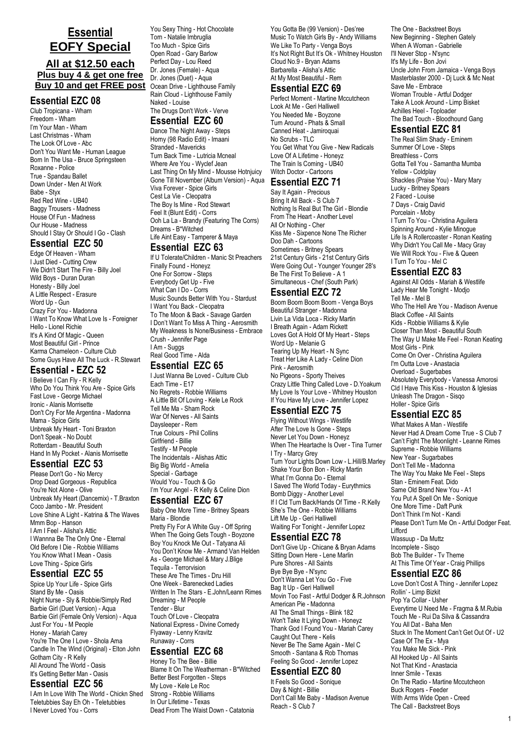# **Essential EOFY Special**

## **All at \$12.50 each Plus buy 4 & get one free Buy 10 and get FREE post**

#### **Essential EZC 08**

Club Tropicana - Wham Freedom - Wham I'm Your Man - Wham Last Christmas - Wham The Look Of Love - Abc Don't You Want Me - Human League Born In The Usa - Bruce Springsteen Roxanne - Police True - Spandau Ballet Down Under - Men At Work Babe - Styx Red Red Wine - UB40 Baggy Trousers - Madness House Of Fun - Madness Our House - Madness Should I Stay Or Should I Go - Clash

#### **Essential EZC 50**

Edge Of Heaven - Wham I Just Died - Cutting Crew We Didn't Start The Fire - Billy Joel Wild Boys - Duran Duran Honesty - Billy Joel A Little Respect - Erasure Word Up - Gun Crazy For You - Madonna I Want To Know What Love Is - Foreigner Hello - Lionel Richie It's A Kind Of Magic - Queen Most Beautiful Girl - Prince Karma Chameleon - Culture Club Some Guys Have All The Luck - R.Stewart

#### **Essential - EZC 52**

I Believe I Can Fly - R Kelly Who Do You Think You Are - Spice Girls Fast Love - George Michael Ironic - Alanis Morrisette Don't Cry For Me Argentina - Madonna Mama - Spice Girls Unbreak My Heart - Toni Braxton Don't Speak - No Doubt Rotterdam - Beautiful South Hand In My Pocket - Alanis Morrisette

#### **Essential EZC 53**

Please Don't Go - No Mercy Drop Dead Gorgeous - Republica You're Not Alone - Olive Unbreak My Heart (Dancemix) - T.Braxton Coco Jambo - Mr. President Love Shine A Light - Katrina & The Waves Mmm Bop - Hanson I Am I Feel - Alisha's Attic I Wannna Be The Only One - Eternal Old Before I Die - Robbie Williams You Know What I Mean - Oasis Love Thing - Spice Girls

## **Essential EZC 55**

Spice Up Your Life - Spice Girls Stand By Me - Oasis Night Nurse - Sly & Robbie/Simply Red Barbie Girl (Duet Version) - Aqua Barbie Girl (Female Only Version) - Aqua Just For You - M People Honey - Mariah Carey You're The One I Love - Shola Ama Candle In The Wind (Original) - Elton John Gotham City - R Kelly All Around The World - Oasis It's Getting Better Man - Oasis

## **Essential EZC 56**

I Am In Love With The World - Chickn Shed Teletubbies Say Eh Oh - Teletubbies I Never Loved You - Corrs

You Sexy Thing - Hot Chocolate Torn - Natalie Imbruglia Too Much - Spice Girls Open Road - Gary Barlow Perfect Day - Lou Reed Dr. Jones (Female) - Aqua Dr. Jones (Duet) - Aqua Ocean Drive - Lighthouse Family Rain Cloud - Lighthouse Family Naked - Louise The Drugs Don't Work - Verve

#### **Essential EZC 60**

Dance The Night Away - Steps Horny (98 Radio Edit) - Imaani Stranded - Mavericks Turn Back Time - Lutricia Mcneal Where Are You - Wyclef Jean Last Thing On My Mind - Mousse Hotnjuicy Gone Till November (Album Version) - Aqua Viva Forever - Spice Girls Cest La Vie - Cleopatra The Boy Is Mine - Rod Stewart Feel It (Blunt Edit) - Corrs Ooh La La - Brandy (Featuring The Corrs) Dreams - B\*Witched Life Aint Easy - Tamperer & Maya

#### **Essential EZC 63**

If U Tolerate/Children - Manic St Preachers Finally Found - Honeyz One For Sorrow - Steps Everybody Get Up - Five What Can I Do - Corrs Music Sounds Better With You - Stardust I Want You Back - Cleopatra To The Moon & Back - Savage Garden I Don't Want To Miss A Thing - Aerosmith My Weakness Is None/Business - Embrace Crush - Jennifer Page I Am - Suggs Real Good Time - Alda

#### **Essential EZC 65**

I Just Wanna Be Loved - Culture Club Each Time - E17 No Regrets - Robbie Williams A Little Bit Of Loving - Kele Le Rock Tell Me Ma - Sham Rock War Of Nerves - All Saints Daysleeper - Rem True Colours - Phil Collins Girlfriend - Billie Testify - M People The Incidentals - Alishas Attic Big Big World - Amelia Special - Garbage Would You - Touch & Go I'm Your Angel - R Kelly & Celine Dion

#### **Essential EZC 67**

Baby One More Time - Britney Spears Maria - Blondie Pretty Fly For A White Guy - Off Spring When The Going Gets Tough - Boyzone Boy You Knock Me Out - Tatyana Ali You Don't Know Me - Armand Van Helden As - George Michael & Mary J.Blige Tequila - Terrorvision These Are The Times - Dru Hill One Week - Barenecked Ladies Written In The Stars - E.John/Leann Rimes Dreaming - M People Tender - Blur Touch Of Love - Cleopatra National Express - Divine Comedy Flyaway - Lenny Kravitz Runaway - Corrs

#### **Essential EZC 68**

Honey To The Bee - Billie Blame It On The Weatherman - B\*Witched Better Best Forgotten - Steps My Love - Kele Le Roc Strong - Robbie Williams In Our Lifetime - Texas Dead From The Waist Down - Catatonia

You Gotta Be (99 Version) - Des'ree Music To Watch Girls By - Andy Williams We Like To Party - Venga Boys It's Not Right But It's Ok - Whitney Houston Cloud No.9 - Bryan Adams Barbarella - Alisha's Attic At My Most Beautiful - Rem

### **Essential EZC 69**

Perfect Moment - Martine Mccutcheon Look At Me - Geri Halliwell You Needed Me - Boyzone Turn Around - Phats & Small Canned Heat - Jamiroquai No Scrubs - TLC You Get What You Give - New Radicals Love Of A Lifetime - Honeyz The Train Is Coming - UB40 Witch Doctor - Cartoons

# **Essential EZC 71**

Say It Again - Precious Bring It All Back - S Club 7 Nothing Is Real But The Girl - Blondie From The Heart - Another Level All Or Nothing - Cher Kiss Me - Sixpence None The Richer Doo Dah - Cartoons Sometimes - Britney Spears 21st Century Girls - 21st Century Girls Were Going Out - Younger Younger 28's Be The First To Believe - A 1 Simultaneous - Chef (South Park)

# **Essential EZC 72**

Boom Boom Boom Boom - Venga Boys Beautiful Stranger - Madonna Livin La Vida Loca - Ricky Martin I Breath Again - Adam Rickett Loves Got A Hold Of My Heart - Steps Word Up - Melanie G Tearing Up My Heart - N Sync Treat Her Like A Lady - Celine Dion Pink - Aerosmith No Pigeons - Sporty Theives Crazy Little Thing Called Love - D.Yoakum My Love Is Your Love - Whitney Houston If You Have My Love - Jennifer Lopez

# **Essential EZC 75**

Flying Without Wings - Westlife After The Love Is Gone - Steps Never Let You Down - Honeyz When The Heartache Is Over - Tina Turner I Try - Marcy Grey Turn Your Lights Down Low - L.Hill/B.Marley Shake Your Bon Bon - Ricky Martin What I'm Gonna Do - Eternal I Saved The World Today - Eurythmics Bomb Diggy - Another Level If I Cld Turn Back/Hands Of Time - R.Kelly She's The One - Robbie Williams Lift Me Up - Geri Halliwell Waiting For Tonight - Jennifer Lopez

# **Essential EZC 78**

Don't Give Up - Chicane & Bryan Adams Sitting Down Here - Lene Marlin Pure Shores - All Saints Bye Bye Bye - N'sync Don't Wanna Let You Go - Five Bag It Up - Geri Halliwell Movin Too Fast - Artful Dodger & R.Johnson American Pie - Madonna All The Small Things - Blink 182 Won't Take It Lying Down - Honeyz Thank God I Found You - Mariah Carey Caught Out There - Kelis Never Be The Same Again - Mel C Smooth - Santana & Rob Thomas Feeling So Good - Jennifer Lopez

## **Essential EZC 80**

It Feels So Good - Sonique Day & Night - Billie Don't Call Me Baby - Madison Avenue Reach - S Club 7

The One - Backstreet Boys New Beginning - Stephen Gately When A Woman - Gabrielle I'll Never Stop - N'sync It's My Life - Bon Jovi Uncle John From Jamaica - Venga Boys Masterblaster 2000 - Dj Luck & Mc Neat Save Me - Embrace Woman Trouble - Artful Dodger Take A Look Around - Limp Bisket Achilles Heel - Toploader The Bad Touch - Bloodhound Gang

### **Essential EZC 81**

The Real Slim Shady - Eminem Summer Of Love - Steps Breathless - Corrs Gotta Tell You - Samantha Mumba Yellow - Coldplay Shackles (Praise You) - Mary Mary Lucky - Britney Spears 2 Faced - Louise 7 Days - Craig David Porcelain - Moby I Turn To You - Christina Aguilera Spinning Around - Kylie Minogue Life Is A Rollercoaster - Ronan Keating Why Didn't You Call Me - Macy Gray We Will Rock You - Five & Queen I Turn To You - Mel C

# **Essential EZC 83**

Against All Odds - Mariah & Westlife Lady Hear Me Tonight - Modjo Tell Me - Mel B Who The Hell Are You - Madison Avenue Black Coffee - All Saints Kids - Robbie Williams & Kylie Closer Than Most - Beautiful South The Way U Make Me Feel - Ronan Keating Most Girls - Pink Come On Over - Christina Aguilera I'm Outta Love - Anastacia Overload - Sugerbabes Absolutely Everybody - Vanessa Amorosi Cld I Have This Kiss - Houston & Iglesias Unleash The Dragon - Sisqo Holler - Spice Girls

# **Essential EZC 85**

What Makes A Man - Westlife Never Had A Dream Come True - S Club 7 Can't Fight The Moonlight - Leanne Rimes Supreme - Robbie Williams New Year - Sugarbabes Don't Tell Me - Madonna The Way You Make Me Feel - Steps Stan - Eminem Feat. Dido Same Old Brand New You - A1 You Put A Spell On Me - Sonique One More Time - Daft Punk Don't Think I'm Not - Kandi Please Don't Turn Me On - Artful Dodger Feat. Lifford Wassuup - Da Muttz Incomplete - Sisqo Bob The Builder - Tv Theme At This Time Of Year - Craig Phillips

#### **Essential EZC 86**

Love Don't Cost A Thing - Jennifer Lopez Rollin' - Limp Bizkit Pop Ya Collar - Usher Everytime U Need Me - Fragma & M.Rubia Touch Me - Rui Da Silva & Cassandra You All Dat - Baha Men Stuck In The Moment Can't Get Out Of - U2 Case Of The Ex - Mya You Make Me Sick - Pink All Hooked Up - All Saints Not That Kind - Anastacia Inner Smile - Texas On The Radio - Martine Mccutcheon Buck Rogers - Feeder With Arms Wide Open - Creed The Call - Backstreet Boys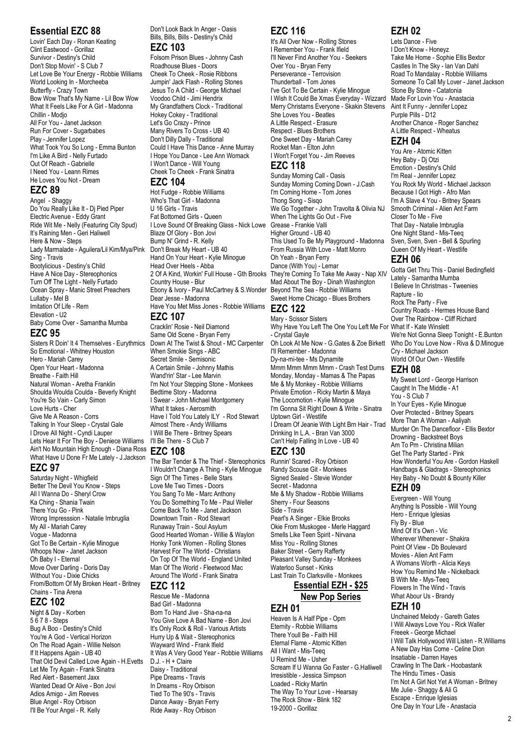## **Essential EZC 88**

Lovin' Each Day - Ronan Keating Clint Eastwood - Gorillaz Survivor - Destiny's Child Don't Stop Movin' - S Club 7 Let Love Be Your Energy - Robbie Williams World Looking In - Morcheeba Butterfly - Crazy Town Bow Wow That's My Name - Lil Bow Wow What It Feels Like For A Girl - Madonna Chillin - Modjo All For You - Janet Jackson Run For Cover - Sugarbabes Play - Jennifer Lopez What Took You So Long - Emma Bunton I'm Like A Bird - Nelly Furtado Out Of Reach - Gabrielle I Need You - Leann Rimes He Loves You Not - Dream **EZC 89**

Angel - Shaggy Do You Really Like It - Dj Pied Piper Electric Avenue - Eddy Grant Ride Wit Me - Nelly (Featuring City Spud) It's Raining Men - Geri Haliwell Here & Now - Steps Lady Marmalade - Aguilera/Lil Kim/Mya/Pink Sing - Travis Bootylicious - Destiny's Child Have A Nice Day - Stereophonics Turn Off The Light - Nelly Furtado Ocean Spray - Manic Street Preachers Lullaby - Mel B Imitation Of Life - Rem Elevation - U2 Baby Come Over - Samantha Mumba **EZC 95**

Sisters R Doin' It 4 Themselves - Eurythmics So Emotional - Whitney Houston Hero - Mariah Carey Open Your Heart - Madonna Breathe - Faith Hill Natural Woman - Aretha Franklin Shoulda Woulda Coulda - Beverly Knight You're So Vain - Carly Simon Love Hurts - Cher Give Me A Reason - Corrs Talking In Your Sleep - Crystal Gale I Drove All Night - Cyndi Lauper Lets Hear It For The Boy - Deniece Williams Ain't No Mountain High Enough - Diana Ross What Have U Done Fr Me Lately - J.Jackson

#### **EZC 97**

Saturday Night - Whigfield Better The Devil You Know - Steps All I Wanna Do - Sheryl Crow Ka Ching - Shania Twain There You Go - Pink Wrong Impresssion - Natalie Imbruglia My All - Mariah Carey Vogue - Madonna Got To Be Certain - Kylie Minogue Whoops Now - Janet Jackson Oh Baby I - Eternal Move Over Darling - Doris Day Without You - Dixie Chicks From/Bottom Of My Broken Heart - Britney Chains - Tina Arena

# **EZC 102**

Night & Day - Korben 5 6 7 8 - Steps Bug A Boo - Destiny's Child You're A God - Vertical Horizon On The Road Again - Willie Nelson If It Happens Again - UB 40 That Old Devil Called Love Again - H.Evetts Let Me Try Again - Frank Sinatra Red Alert - Basement Jaxx Wanted Dead Or Alive - Bon Jovi Adios Amigo - Jim Reeves Blue Angel - Roy Orbison I'll Be Your Angel - R. Kelly

Don't Look Back In Anger - Oasis Bills, Bills, Bills - Destiny's Child **EZC 103**

Folsom Prison Blues - Johnny Cash Roadhouse Blues - Doors Cheek To Cheek - Rosie Ribbons Jumpin' Jack Flash - Rolling Stones Jesus To A Child - George Michael Voodoo Child - Jimi Hendrix My Grandfathers Clock - Traditional Hokey Cokey - Traditional Let's Go Crazy - Prince Many Rivers To Cross - UB 40 Don't Dilly Dally - Traditional Could I Have This Dance - Anne Murray I Hope You Dance - Lee Ann Womack I Won't Dance - Will Young Cheek To Cheek - Frank Sinatra

## **EZC 104**

Hot Fudge - Robbie Williams Who's That Girl - Madonna U 16 Girls - Travis Fat Bottomed Girls - Queen I Love Sound Of Breaking Glass - Nick Lowe Blaze Of Glory - Bon Jovi Bump N' Grind - R. Kelly Don't Break My Heart - UB 40 Hand On Your Heart - Kylie Minogue Head Over Heels - Abba 2 Of A Kind, Workin' Full House - Gth Brooks Country House - Blur Ebony & Ivory - Paul McCartney & S.Wonder Dear Jesse - Madonna Have You Met Miss Jones - Robbie Williams **EZC 107**

Cracklin' Rosie - Neil Diamond Same Old Scene - Bryan Ferry Down At The Twist & Shout - MC Carpenter When Smokie Sings - ABC Secret Smile - Semisonic A Certain Smile - Johnny Mathis Wand'rin' Star - Lee Marvin I'm Not Your Stepping Stone - Monkees Bedtime Story - Madonna I Swear - John Michael Montgomery What It takes - Aerosmith Have I Told You Lately ILY - Rod Stewart Almost There - Andy Williams I Will Be There - Britney Spears I'll Be There - S Club 7

#### **EZC 108**

The Bar Tender & The Thief - Stereophonics Runnin' Scared - Roy Orbison I Wouldn't Change A Thing - Kylie Minogue Sign Of The Times - Belle Stars Love Me Two Times - Doors You Sang To Me - Marc Anthony You Do Something To Me - Paul Weller Come Back To Me - Janet Jackson Downtown Train - Rod Stewart Runaway Train - Soul Asylum Good Hearted Woman - Willie & Waylon Honky Tonk Women - Rolling Stones Harvest For The World - Christians On Top Of The World - England United Man Of The World - Fleetwood Mac Around The World - Frank Sinatra

#### **EZC 112**

Rescue Me - Madonna Bad Girl - Madonna Born To Hand Jive - Sha-na-na You Give Love A Bad Name - Bon Jovi It's Only Rock & Roll - Various Artists Hurry Up & Wait - Stereophonics Wayward Wind - Frank Ifield It Was A Very Good Year - Robbie Williams D.J. - H + Claire Daisy - Traditional Pipe Dreams - Travis In Dreams - Roy Orbison Tied To The 90's - Travis Dance Away - Bryan Ferry Ride Away - Roy Orbison

# **EZC 116**

It's All Over Now - Rolling Stones I Remember You - Frank Ifield I'll Never Find Another You - Seekers Over You - Bryan Ferry Perseverance - Terrovision Thunderball - Tom Jones I've Got To Be Certain - Kylie Minogue I Wish It Could Be Xmas Everyday - Wizzard Merry Christams Everyone - Skakin Stevens She Loves You - Beatles A Little Respect - Erasure Respect - Blues Brothers One Sweet Day - Mariah Carey Rocket Man - Elton John I Won't Forget You - Jim Reeves **EZC 118**

Sunday Morning Call - Oasis Sunday Morning Coming Down - J.Cash I'm Coming Home - Tom Jones Thong Song - Sisqo We Go Together - John Travolta & Olivia NJ When The Lights Go Out - Five Grease - Frankie Valli Higher Ground - UB 40 This Used To Be My Playground - Madonna From Russia With Love - Matt Monro Oh Yeah - Bryan Ferry Dance (With You) - Lemar They're Coming To Take Me Away - Nap XIV Mad About The Boy - Dinah Washington Beyond The Sea - Robbie Williams Sweet Home Chicago - Blues Brothers **EZC 122**

## Mary - Scissor Sisters

Why Have You Left The One You Left Me For What If - Kate Winslett - Crystal Gayle Oh Look At Me Now - G.Gates & Zoe Birkett I'll Remember - Madonna Dy-na-mi-tee - Ms Dynamite Mmm Mmm Mmm Mmm - Crash Test Dums Monday, Monday - Mamas & The Papas Me & My Monkey - Robbie Williams Private Emotion - Ricky Martin & Maya The Locomotion - Kylie Minogue I'm Gonna Sit Right Down & Write - Sinatra Uptown Girl - Westlife I Dream Of Jeanie With Light Brn Hair - Trad Drinking In L.A. - Bran Van 3000 Can't Help Falling In Love - UB 40 **EZC 130**

Randy Scouse Git - Monkees Signed Sealed - Stevie Wonder Secret - Madonna Me & My Shadow - Robbie Williams Sherry - Four Seasons Side - Travis Pearl's A Singer - Elkie Brooks Okie From Muskogee - Merle Haggard Smells Like Teen Spirit - Nirvana Miss You - Rolling Stones Baker Street - Gerry Rafferty Pleasant Valley Sunday - Monkees Waterloo Sunset - Kinks Last Train To Clarksville - Monkees

## **Essential EZH - \$25 New Pop Series**

#### **EZH 01**

Heaven Is A Half Pipe - Opm Eternity - Robbie Williams There Youll Be - Faith Hill Eternal Flame - Atomic Kitten All I Want - Mis-Teeq U Remind Me - Usher Scream If U Wanna Go Faster - G.Halliwell Irresistible - Jessica Simpson Loaded - Ricky Martin The Way To Your Love - Hearsay The Rock Show - Blink 182 19-2000 - Gorillaz

# **EZH 02**

Lets Dance - Five I Don't Know - Honeyz Take Me Home - Sophie Ellis Bextor Castles In The Sky - Ian Van Dahl Road To Mandalay - Robbie Williams Someone To Call My Lover - Janet Jackson Stone By Stone - Catatonia Made For Lovin You - Anastacia Aint It Funny - Jennifer Lopez Purple Pills - D12 Another Chance - Roger Sanchez A Little Respect - Wheatus

#### **EZH 04**

You Are - Atomic Kitten Hey Baby - Dj Otzi Emotion - Destiny's Child I'm Real - Jennifer Lopez You Rock My World - Michael Jackson Because I Got High - Afro Man I'm A Slave 4 You - Britney Spears Smooth Criminal - Alien Ant Farm Closer To Me - Five That Day - Natalie Imbruglia One Night Stand - Mis-Teeq Sven, Sven, Sven - Bell & Spurling Queen Of My Heart - Westlife

#### **EZH 06**

Gotta Get Thru This - Daniel Bedingfield Lately - Samantha Mumba I Believe In Christmas - Tweenies Rapture - Iio Rock The Party - Five Country Roads - Hermes House Band Over The Rainbow - Cliff Richard We're Not Gonna Sleep Tonight - E.Bunton Who Do You Love Now - Riva & D.Minogue Cry - Michael Jackson World Of Our Own - Westlife **EZH 08**

My Sweet Lord - George Harrison Caught In The Middle - A1 You - S Club 7 In Your Eyes - Kylie Minogue Over Protected - Britney Spears More Than A Woman - Aaliyah Murder On The Dancefloor - Ellis Bextor Drowning - Backstreet Boys Am To Pm - Christina Milian Get The Party Started - Pink How Wonderful You Are - Gordon Haskell Handbags & Gladrags - Stereophonics Hey Baby - No Doubt & Bounty Killer

# **EZH 09**

Evergreen - Will Young Anything Is Possible - Will Young Hero - Enrique Iglesias Fly By - Blue Mind Of It's Own - Vic Wherever Whenever - Shakira Point Of View - Db Boulevard Movies - Alien Ant Farm A Womans Worth - Alicia Keys How You Remind Me - Nickelback B With Me - Mys-Teeq Flowers In The Wind - Travis What Abour Us - Brandy

#### **EZH 10**

Unchained Melody - Gareth Gates I Will Always Love You - Rick Waller Freeek - George Michael I Will Talk Hollywood Will Listen - R.Williams A New Day Has Come - Celine Dion Insatiable - Darren Hayes Crawling In The Dark - Hoobastank The Hindu Times - Oasis I'm Not A Girl Not Yet A Woman - Britney Me Julie - Shaggy & Ali G Escape - Enrique Iglesias One Day In Your Life - Anastacia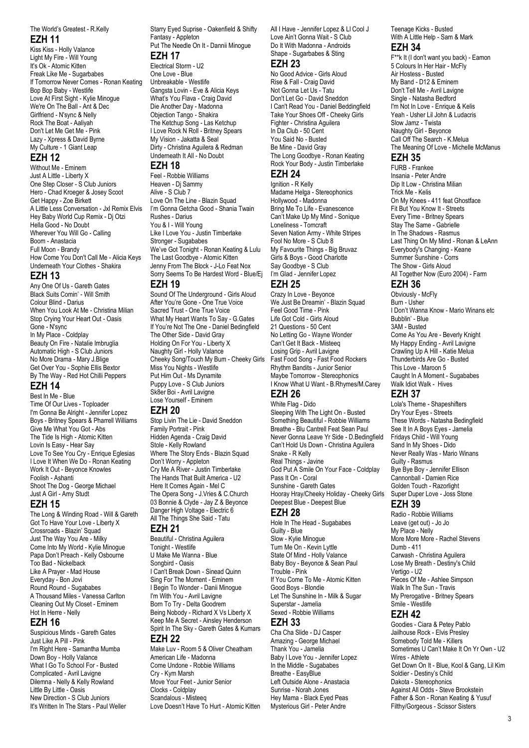#### The World's Greatest - R.Kelly **EZH 11**

Kiss Kiss - Holly Valance Light My Fire - Will Young It's Ok - Atomic Kitten Freak Like Me - Sugarbabes If Tomorrow Never Comes - Ronan Keating Bop Bop Baby - Westlife Love At First Sight - Kylie Minogue We're On The Ball - Ant & Dec Girlfriend - N'sync & Nelly Rock The Boat - Aaliyah Don't Let Me Get Me - Pink Lazy - Xpress & David Byrne My Culture - 1 Giant Leap

## **EZH 12**

Without Me - Eminem Just A Little - Liberty X One Step Closer - S Club Juniors Hero - Chad Kroeger & Josey Scoot Get Happy - Zoe Birkett A Little Less Conversation - Jxl Remix Elvis Hey Baby World Cup Remix - Dj Otzi Hella Good - No Doubt Wherever You Will Go - Calling Boom - Anastacia Full Moon - Brandy How Come You Don't Call Me - Alicia Keys Underneath Your Clothes - Shakira

#### **EZH 13**

Any One Of Us - Gareth Gates Black Suits Comin' - Will Smith Colour Blind - Darius When You Look At Me - Christina Milian Stop Crying Your Heart Out - Oasis Gone - N'sync In My Place - Coldplay Beauty On Fire - Natalie Imbruglia Automatic High - S Club Juniors No More Drama - Mary J.Blige Get Over You - Sophie Ellis Bextor By The Way - Red Hot Chilli Peppers **EZH 14**

Best In Me - Blue Time Of Our Lives - Toploader I'm Gonna Be Alright - Jennifer Lopez Boys - Britney Spears & Pharrell Williams Give Me What You Got - Abs The Tide Is High - Atomic Kitten Lovin Is Easy - Hear Say Love To See You Cry - Enrique Eglesias I Love It When We Do - Ronan Keating Work It Out - Beyonce Knowles Foolish - Ashanti Shoot The Dog - George Michael Just A Girl - Amy Studt

#### **EZH 15**

The Long & Winding Road - Will & Gareth Got To Have Your Love - Liberty X Crossroads - Blazin' Squad Just The Way You Are - Milky Come Into My World - Kylie Minogue Papa Don't Preach - Kelly Osbourne Too Bad - Nickelback Like A Prayer - Mad House Everyday - Bon Jovi Round Round - Sugababes A Thousand Miles - Vanessa Carlton Cleaning Out My Closet - Eminem Hot In Herre - Nelly

### **EZH 16**

Suspicious Minds - Gareth Gates Just Like A Pill - Pink I'm Right Here - Samantha Mumba Down Boy - Holly Valance What I Go To School For - Busted Complicated - Avril Lavigne Dilemna - Nelly & Kelly Rowland Little By Little - Oasis New Direction - S Club Juniors It's Written In The Stars - Paul Weller Starry Eyed Suprise - Oakenfield & Shifty Fantasy - Appleton Put The Needle On It - Dannii Minogue

# **EZH 17**

Electrical Storm - U2 One Love - Blue Unbreakable - Westlife Gangsta Lovin - Eve & Alicia Keys What's You Flava - Craig David Die Another Day - Madonna Objection Tango - Shakira The Ketchup Song - Las Ketchup I Love Rock N Roll - Britney Spears My Vision - Jakatta & Seal Dirty - Christina Aguilera & Redman Underneath It All - No Doubt

#### **EZH 18**

Feel - Robbie Williams Heaven - Dj Sammy Alive - S Club 7 Love On The Line - Blazin Squad I'm Gonna Getcha Good - Shania Twain Rushes - Darius You & I - Will Young Like I Love You - Justin Timberlake Stronger - Sugababes We've Got Tonight - Ronan Keating & Lulu The Last Goodbye - Atomic Kitten Jenny From The Block - J-Lo Feat Nox Sorry Seems To Be Hardest Word - Blue/Ej

#### **EZH 19**

Sound Of The Underground - Girls Aloud After You're Gone - One True Voice Sacred Trust - One True Voice What My Heart Wants To Say - G.Gates If You're Not The One - Daniel Bedingfield The Other Side - David Gray Holding On For You - Liberty X Naughty Girl - Holly Valance Cheeky Song/Touch My Bum - Cheeky Girls Miss You Nights - Westlife Put Him Out - Ms Dynamite Puppy Love - S Club Juniors Sk8er Boi - Avril Lavigne Lose Yourself - Eminem

#### **EZH 20**

Stop Livin The Lie - David Sneddon Family Portrait - Pink Hidden Agenda - Craig David Stole - Kelly Rowland Where The Story Ends - Blazin Squad Don't Worry - Appleton Cry Me A River - Justin Timberlake The Hands That Built America - U2 Here It Comes Again - Mel C The Opera Song - J.Vries & C.Church 03 Bonnie & Clyde - Jay Z & Beyonce Danger High Voltage - Electric 6 All The Things She Said - Tatu **EZH 21**

Beautiful - Christina Aguilera Tonight - Westlife U Make Me Wanna - Blue Songbird - Oasis I Can't Break Down - Sinead Quinn Sing For The Moment - Eminem I Begin To Wonder - Danii Minogue I'm With You - Avril Lavigne Born To Try - Delta Goodrem Being Nobody - Richard X Vs Liberty X Keep Me A Secret - Ainsley Henderson Spirit In The Sky - Gareth Gates & Kumars **EZH 22**

Make Luv - Room 5 & Oliver Cheatham American Life - Madonna Come Undone - Robbie Williams Cry - Kym Marsh Move Your Feet - Junior Senior Clocks - Coldplay Scandalous - Misteeq Love Doesn't Have To Hurt - Atomic Kitten All I Have - Jennifer Lopez & Ll Cool J Love Ain't Gonna Wait - S Club Do It With Madonna - Androids Shape - Sugarbabes & Sting **EZH 23**

No Good Advice - Girls Aloud Rise & Fall - Craig David Not Gonna Let Us - Tatu Don't Let Go - David Sneddon I Can't Read You - Daniel Beddingfield Take Your Shoes Off - Cheeky Girls Fighter - Christina Aguilera In Da Club - 50 Cent You Said No - Busted Be Mine - David Gray The Long Goodbye - Ronan Keating Rock Your Body - Justin Timberlake **EZH 24**

Ignition - R Kelly Madame Helga - Stereophonics Hollywood - Madonna Bring Me To Life - Evanescence Can't Make Up My Mind - Sonique Loneliness - Tomcraft Seven Nation Army - White Stripes Fool No More - S Club 8 My Favourite Things - Big Bruvaz Girls & Boys - Good Charlotte Say Goodbye - S Club I'm Glad - Jennifer Lopez **EZH 25**

Crazy In Love - Beyonce We Just Be Dreamin' - Blazin Squad Feel Good Time - Pink Life Got Cold - Girls Aloud 21 Questions - 50 Cent No Letting Go - Wayne Wonder Can't Get It Back - Misteeq Losing Grip - Avril Lavigne Fast Food Song - Fast Food Rockers Rhythm Bandits - Junior Senior Maybe Tomorrow - Stereophonics I Know What U Want - B.Rhymes/M.Carey **EZH 26**

White Flag - Dido Sleeping With The Light On - Busted Something Beautiful - Robbie Williams Breathe - Blu Cantrell Feat Sean Paul Never Gonna Leave Yr Side - D.Bedingfield Can't Hold Us Down - Christina Aguilera Snake - R Kelly Real Things - Javine God Put A Smile On Your Face - Coldplay Pass It On - Coral Sunshine - Gareth Gates Hooray Hray/Cheeky Holiday - Cheeky Girls Deepest Blue - Deepest Blue

### **EZH 28**

Hole In The Head - Sugababes Guilty - Blue Slow - Kylie Minogue Turn Me On - Kevin Lyttle State Of Mind - Holly Valance Baby Boy - Beyonce & Sean Paul Trouble - Pink If You Come To Me - Atomic Kitten Good Boys - Blondie Let The Sunshine In - Milk & Sugar Superstar - Jamelia Sexed - Robbie Williams **EZH 33**

Cha Cha Slide - DJ Casper Amazing - George Michael Thank You - Jamelia Baby I Love You - Jennifer Lopez In the Middle - Sugababes Breathe - EasyBlue Left Outside Alone - Anastacia Sunrise - Norah Jones Hey Mama - Black Eyed Peas Mysterious Girl - Peter Andre

#### Teenage Kicks - Busted With A Little Help - Sam & Mark **EZH 34**

F\*\*k It (I don't want you back) - Eamon 5 Colours In Her Hair - McFly Air Hostess - Busted My Band - D12 & Eminem Don't Tell Me - Avril Lavigne Single - Natasha Bedford I'm Not In Love - Enrique & Kelis Yeah - Usher Lil John & Ludacris Slow Jamz - Twista Naughty Girl - Beyonce Call Off The Search - K.Melua The Meaning Of Love - Michelle McManus

#### **EZH 35**

FURB - Frankee Insania - Peter Andre Dip It Low - Christina Milian Trick Me - Kelis On My Knees - 411 feat Ghostface Fit But You Know It - Streets Every Time - Britney Spears Stay The Same - Gabrielle In The Shadows - Rasmus Last Thing On My Mind - Ronan & LeAnn Everybody's Changing - Keane Summer Sunshine - Corrs The Show - Girls Aloud All Together Now (Euro 2004) - Farm

# **EZH 36**

Obviously - McFly Burn - Usher I Don't Wanna Know - Mario Winans etc Bubblin' - Blue 3AM - Busted Come As You Are - Beverly Knight My Happy Ending - Avril Lavigne Crawling Up A Hill - Katie Melua Thunderbirds Are Go - Busted This Love - Maroon 5 Caught In A Moment - Sugababes Walk Idiot Walk - Hives

#### **EZH 37**

Lola's Theme - Shapeshifters Dry Your Eyes - Streets These Words - Natasha Bedingfield See It In A Boys Eyes - Jamelia Fridays Child - Will Young Sand In My Shoes - Dido Never Really Was - Mario Winans Guilty - Rasmus Bye Bye Boy - Jennifer Ellison Cannonball - Damien Rice Golden Touch - Razorlight Super Duper Love - Joss Stone

#### **EZH 39**

Radio - Robbie Williams Leave (get out) - Jo Jo My Place - Nelly More More More - Rachel Stevens Dumb - 411 Carwash - Christina Aguilera Lose My Breath - Destiny's Child Vertigo - U2 Pieces Of Me - Ashlee Simpson Walk In The Sun - Travis My Prerogative - Britney Spears Smile - Westlife

# **EZH 42**

Goodies - Ciara & Petey Pablo Jailhouse Rock - Elvis Presley Somebody Told Me - Killers Sometimes U Can't Make It On Yr Own - U2 Wires - Athlete Get Down On It - Blue, Kool & Gang, Lil Kim Soldier - Destiny's Child Dakota - Stereophonics Against All Odds - Steve Brookstein Father & Son - Ronan Keating & Yusuf Filthy/Gorgeous - Scissor Sisters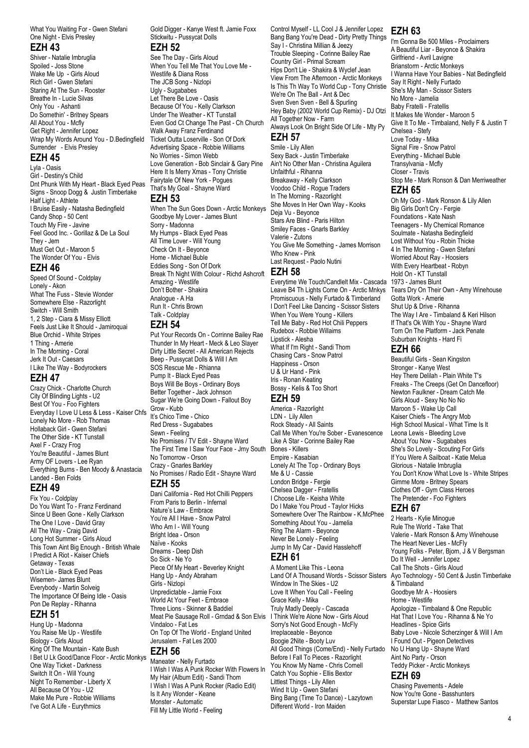What You Waiting For - Gwen Stefani One Night - Elvis Presley

#### **EZH 43**

Shiver - Natalie Imbruglia Spoiled - Joss Stone Wake Me Up - Girls Aloud Rich Girl - Gwen Stefani Staring At The Sun - Rooster Breathe In - Lucie Silvas Only You - Ashanti Do Somethin' - Britney Spears All About You - Mcfly Get Right - Jennifer Lopez Wrap My Words Around You - D.Bedingfield Surrender - Elvis Presley

#### **EZH 45**

Lyla - Oasis Girl - Destiny's Child Dnt Phunk With My Heart - Black Eyed Peas Signs - Snoop Dogg & Justin Timberlake Half Light - Athlete I Bruise Easily - Natasha Bedingfield Candy Shop - 50 Cent Touch My Fire - Javine Feel Good Inc. - Gorillaz & De La Soul They - Jem Must Get Out - Maroon 5 The Wonder Of You - Elvis

#### **EZH 46**

Speed Of Sound - Coldplay Lonely - Akon What The Fuss - Stevie Wonder Somewhere Else - Razorlight Switch - Will Smith 1, 2 Step - Ciara & Missy Elliott Feels Just Like It Should - Jamiroquai Blue Orchid - White Stripes 1 Thing - Amerie In The Morning - Coral Jerk It Out - Caesars I Like The Way - Bodyrockers

#### **EZH 47**

Crazy Chick - Charlotte Church City Of Blinding Lights - U2 Best Of You - Foo Fighters Everyday I Love U Less & Less - Kaiser Chfs Lonely No More - Rob Thomas Hollaback Girl - Gwen Stefani The Other Side - KT Tunstall Axel F - Crazy Frog You're Beautiful - James Blunt Army OF Lovers - Lee Ryan Everything Burns - Ben Moody & Anastacia Landed - Ben Folds

#### **EZH 49**

Fix You - Coldplay Do You Want To - Franz Ferdinand Since U Been Gone - Kelly Clarkson The One I Love - David Gray All The Way - Craig David Long Hot Summer - Girls Aloud This Town Aint Big Enough - British Whale I Predict A Riot - Kaiser Chiefs Getaway - Texas Don't Lie - Black Eyed Peas Wisemen- James Blunt Everybody - Martin Solveig The Importance Of Being Idle - Oasis Pon De Replay - Rihanna

## **EZH 51**

Hung Up - Madonna You Raise Me Up - Westlife Biology - Girls Aloud King Of The Mountain - Kate Bush I Bet U Lk Good/Dance Floor - Arctic Monkys One Way Ticket - Darkness Switch It On - Will Young Night To Remember - Liberty X All Because Of You - U2 Make Me Pure - Robbie Williams I've Got A Life - Eurythmics

Gold Digger - Kanye West ft. Jamie Foxx Stickwitu - Pussycat Dolls

#### **EZH 52**

See The Day - Girls Aloud When You Tell Me That You Love Me - Westlife & Diana Ross The JCB Song - Nizlopi Ugly - Sugababes Let There Be Love - Oasis Because Of You - Kelly Clarkson Under The Weather - KT Tunstall Even God Ct Change The Past - Ch Church Walk Away Franz Ferdinand Ticket Outta Loserville - Son Of Dork Advertising Space - Robbie Williams No Worries - Simon Webb Love Generation - Bob Sinclair & Gary Pine Here It Is Merry Xmas - Tony Christie Fairytale Of New York - Pogues That's My Goal - Shayne Ward

#### **EZH 53**

When The Sun Goes Down - Arctic Monkeys Goodbye My Lover - James Blunt Sorry - Madonna My Humps - Black Eyed Peas All Time Lover - Will Young Check On It - Beyonce Home - Michael Buble Eddies Song - Son Of Dork Break Th Night With Colour - Richd Ashcroft **EZH 58** Amazing - Westlife Don't Bother - Shakira Analogue - A Ha Run It - Chris Brown Talk - Coldplay

#### **EZH 54**

Put Your Records On - Corrinne Bailey Rae Thunder In My Heart - Meck & Leo Slayer Dirty Little Secret - All American Rejects Beep - Pussycat Dolls & Will I Am SOS Rescue Me - Rhianna Pump It - Black Eyed Peas Boys Will Be Boys - Ordinary Boys Better Together - Jack Johnson Sugar We're Going Down - Fallout Boy Grow - Kubb It's Chico Time - Chico Red Dress - Sugababes Sewn - Feeling No Promises / TV Edit - Shayne Ward The First Time I Saw Your Face - Jrny South No Tomorrow - Orson Crazy - Gnarles Barkley No Promises / Radio Edit - Shayne Ward

#### **EZH 55**

Dani California - Red Hot Chilli Peppers From Paris to Berlin - Infernal Nature's Law - Embrace You're All I Have - Snow Patrol Who Am I - Will Young Bright Idea - Orson Naïve - Kooks Dreams - Deep Dish So Sick - Ne Yo Piece Of My Heart - Beverley Knight Hang Up - Andy Abraham Girls - Nizlopi Unpredictable - Jamie Foxx World At Your Feet - Embrace Three Lions - Skinner & Baddiel Meat Pie Sausage Roll - Grndad & Son Elvis Vindaloo - Fat Les On Top Of The World - England United Jerusalem - Fat Les 2000 **EZH 56**

Maneater - Nelly Furtado I Wish I Was A Punk Rocker With Flowers In My Hair (Album Edit) - Sandi Thom I Wish I Was A Punk Rocker (Radio Edit) Is It Any Wonder - Keane Monster - Automatic Fill My Little World - Feeling

Control Myself - LL Cool J & Jennifer Lopez **EZH 63** Bang Bang You're Dead - Dirty Pretty Things Say I - Christina Millian & Jeezy Trouble Sleeping - Corinne Bailey Rae Country Girl - Primal Scream Hips Don't Lie - Shakira & Wyclef Jean View From The Afternoon - Arctic Monkeys Is This Th Way To World Cup - Tony Christie We're On The Ball - Ant & Dec Sven Sven Sven - Bell & Spurling Hey Baby (2002 World Cup Remix) - DJ Otzi All Together Now - Farm

Always Look On Bright Side Of Life - Mty Py **EZH 57** Smile - Lily Allen

Sexy Back - Justin Timberlake Ain't No Other Man - Christina Aguilera Unfaithful - Rihanna Breakaway - Kelly Clarkson Voodoo Child - Rogue Traders In The Morning - Razorlight She Moves In Her Own Way - Kooks Deja Vu - Beyonce Stars Are Blind - Paris Hilton Smiley Faces - Gnarls Barkley Valerie - Zutons You Give Me Something - James Morrison Who Knew - Pink Last Request - Paolo Nutini

Everytime We Touch/Candlelt Mix - Cascada 1973 - James Blunt Leave B4 Th Lights Come On - Arctic Mnkys Promiscuous - Nelly Furtado & Timberland I Don't Feel Like Dancing - Scissor Sisters When You Were Young - Killers Tell Me Baby - Red Hot Chili Peppers Rudebox - Robbie Willaims Lipstick - Alesha What If I'm Right - Sandi Thom Chasing Cars - Snow Patrol Happiness - Orson U & Ur Hand - Pink Iris - Ronan Keating Bossy - Kelis & Too Short

#### **EZH 59**

America - Razorlight LDN - Lily Allen Rock Steady - All Saints Call Me When You're Sober - Evanescence Like A Star - Corinne Bailey Rae Bones - Killers Empire - Kasabian Lonely At The Top - Ordinary Boys Me & U - Cassie London Bridge - Fergie Chelsea Dagger - Fratellis I Choose Life - Keisha White Do I Make You Proud - Taylor Hicks Somewhere Over The Rainbow - K.McPhee Something About You - Jamelia Ring The Alarm - Beyonce Never Be Lonely - Feeling Jump In My Car - David Hasslehoff **EZH 61**

A Moment Like This - Leona

Land Of A Thousand Words - Scissor Sisters Window In The Skies - U2 Love It When You Call - Feeling Grace Kelly - Mika Truly Madly Deeply - Cascada I Think We're Alone Now - Girls Aloud Sorry's Not Good Enough - McFly Irreplaceable - Beyonce Boogie 2Nite - Booty Luv All Good Things (Come/End) - Nelly Furtado Before I Fall To Pieces - Razorlight You Know My Name - Chris Cornell Catch You Sophie - Ellis Bextor Littlest Things - Lily Allen Wind It Up - Gwen Stefani Bing Bang (Time To Dance) - Lazytown Different World - Iron Maiden

I'm Gonna Be 500 Miles - Proclaimers A Beautiful Liar - Beyonce & Shakira Girlfriend - Avril Lavigne Brianstorm - Arctic Monkeys I Wanna Have Your Babies - Nat Bedingfield Say It Right - Nelly Furtado She's My Man - Scissor Sisters No More - Jamelia Baby Fratelli - Fratellis It Makes Me Wonder - Maroon 5 Give It To Me - Timbaland, Nelly F & Justin T Chelsea - Stefy Love Today - Mika Signal Fire - Snow Patrol Everything - Michael Buble Transylvania - Mcfly Closer - Travis Stop Me - Mark Ronson & Dan Merriweather **EZH 65** Oh My God - Mark Ronson & Lily Allen Big Girls Don't Cry - Fergie Foundations - Kate Nash Teenagers - My Chemical Romance Soulmate - Natasha Bedingfield Lost Without You - Robin Thicke 4 In The Morning - Gwen Stefani Worried About Ray - Hoosiers

With Every Heartbeat - Robyn Hold On - KT Tunstall Tears Dry On Their Own - Amy Winehouse Gotta Work - Amerie Shut Up & Drive - Rihanna The Way I Are - Timbaland & Keri Hilson If That's Ok With You - Shayne Ward Torn On The Platform - Jack Penate Suburban Knights - Hard Fi

## **EZH 66**

Beautiful Girls - Sean Kingston Stronger - Kanye West Hey There Delilah - Plain White T's Freaks - The Creeps (Get On Dancefloor) Newton Faulkner - Dream Catch Me Girls Aloud - Sexy No No No Maroon 5 - Wake Up Call Kaiser Chiefs - The Angry Mob High School Musical - What Time Is It Leona Lewis - Bleeding Love About You Now - Sugababes She's So Lovely - Scouting For Girls If You Were A Sailboat - Katie Melua Glorious - Natalie Imbruglia You Don't Know What Love Is - White Stripes Gimme More - Britney Spears Clothes Off - Gym Class Heroes The Pretender - Foo Fighters

#### **EZH 67**

2 Hearts - Kylie Minogue Rule The World - Take That Valerie - Mark Ronson & Amy Winehouse The Heart Never Lies - McFly Young Folks - Peter, Biorn, J & V Bergsman Do It Well - Jennifer Lopez Call The Shots - Girls Aloud Ayo Technology - 50 Cent & Justin Timberlake & Timbaland Goodbye Mr A - Hoosiers Home - Westlife Apologize - Timbaland & One Republic Hat That I Love You - Rihanna & Ne Yo Headlines - Spice Girls Baby Love - Nicole Scherzinger & Will I Am I Found Out - Pigeon Detectives No U Hang Up - Shayne Ward Aint No Party - Orson Teddy Picker - Arctic Monkeys

#### **EZH 69**

Chasing Pavements - Adele Now You're Gone - Basshunters Superstar Lupe Fiasco - Matthew Santos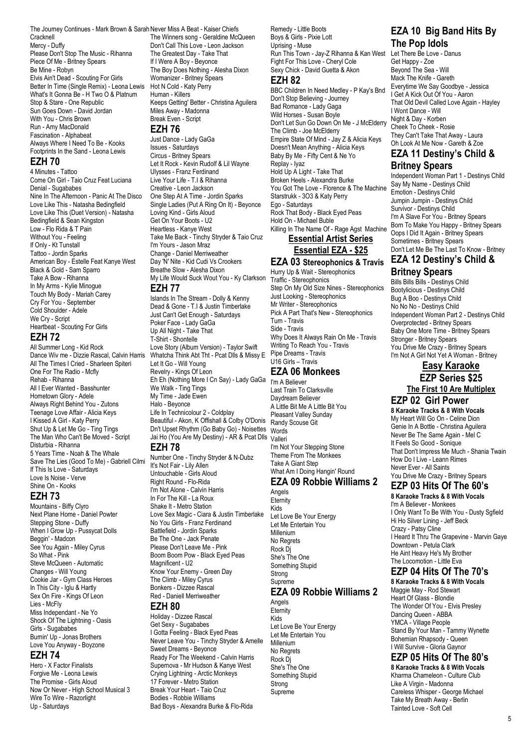The Journey Continues - Mark Brown & Sarah Never Miss A Beat - Kaiser Chiefs

Cracknell Mercy - Duffy Please Don't Stop The Music - Rihanna Piece Of Me - Britney Spears Be Mine - Robyn Elvis Ain't Dead - Scouting For Girls Better In Time (Single Remix) - Leona Lewis What's It Gonna Be - H Two O & Platnum Stop & Stare - One Republic Sun Goes Down - David Jordan With You - Chris Brown Run - Amy MacDonald Fascination - Alphabeat Always Where I Need To Be - Kooks Footprints In the Sand - Leona Lewis

## **EZH 70**

4 Minutes - Tattoo Come On Girl - Taio Cruz Feat Luciana Denial - Sugababes Nine In The Afternoon - Panic At The Disco Love Like This - Natasha Bedingfield Love Like This (Duet Version) - Natasha Bedingfield & Sean Kingston Low - Flo Rida & T Pain Without You - Feeling If Only - Kt Tunstall Tattoo - Jordin Sparks American Boy - Estelle Feat Kanye West Black & Gold - Sam Sparro Take A Bow - Rihanna In My Arms - Kylie Minogue Touch My Body - Mariah Carey Cry For You - September Cold Shoulder - Adele We Cry - Script Heartbeat - Scouting For Girls

#### **EZH 72**

All Summer Long - Kid Rock Dance Wiv me - Dizzie Rascal, Calvin Harris All The Times I Cried - Sharleen Spiteri One For The Radio - Mcfly Rehab - Rihanna All I Ever Wanted - Basshunter Hometown Glory - Adele Always Right Behind You - Zutons Teenage Love Affair - Alicia Keys I Kissed A Girl - Katy Perry Shut Up & Let Me Go - Ting Tings The Man Who Can't Be Moved - Script Disturbia - Rihanna 5 Years Time - Noah & The Whale Save The Lies (Good To Me) - Gabriell Cilmi If This Is Love - Saturdays Love Is Noise - Verve Shine On - Kooks

# **EZH 73**

Mountains - Biffy Clyro Next Plane Home - Daniel Powter Stepping Stone - Duffy When I Grow Up - Pussycat Dolls Beggin' - Madcon See You Again - Miley Cyrus So What - Pink Steve McQueen - Automatic Changes - Will Young Cookie Jar - Gym Class Heroes In This City - Iglu & Hartly Sex On Fire - Kings Of Leon Lies - McFly Miss Independant - Ne Yo Shock Of The Lightning - Oasis Girls - Sugababes Burnin' Up - Jonas Brothers Love You Anyway - Boyzone

#### **EZH 74**

Hero - X Factor Finalists Forgive Me - Leona Lewis The Promise - Girls Aloud Now Or Never - High School Musical 3 Wire To Wire - Razorlight Up - Saturdays

The Winners song - Geraldine McQueen Don't Call This Love - Leon Jackson The Greatest Day - Take That If I Were A Boy - Beyonce The Boy Does Nothing - Alesha Dixon Womanizer - Britney Spears Hot N Cold - Katy Perry Human - Killers Keeps Getting' Better - Christina Aguilera Miles Away - Madonna Break Even - Script

#### **EZH 76**

Just Dance - Lady GaGa Issues - Saturdays Circus - Britney Spears Let It Rock - Kevin Rudolf & Lil Wayne Ulysses - Franz Ferdinand Live Your Life - T.I & Rihanna Creative - Leon Jackson One Step At A Time - Jordin Sparks Single Ladies (Put A Ring On It) - Beyonce Loving Kind - Girls Aloud Get On Your Boots - U2 Heartless - Kanye West Take Me Back - Tinchy Stryder & Taio Cruz I'm Yours - Jason Mraz Change - Daniel Merriweather Day 'N' Nite - Kid Cudi Vs Crookers Breathe Slow - Alesha Dixon My Life Would Suck Wout You - Ky Clarkson **EZH 77**

Islands In The Stream - Dolly & Kenny Dead & Gone - T.I & Justin Timberlake Just Can't Get Enough - Saturdays Poker Face - Lady GaGa Up All Night - Take That T-Shirt - Shontelle Love Story (Album Version) - Taylor Swift Whatcha Think Abt Tht - Pcat Dlls & Missy E Let It Go - Will Young Revelry - Kings Of Leon Eh Eh (Nothing More I Cn Say) - Lady GaGa We Walk - Ting Tings My Time - Jade Ewen Halo - Beyonce Life In Technicolour 2 - Coldplay Beautiful - Akon, K Offishall & Colby O'Donis Dn't Upset Rhythm (Go Baby Go) - Noisettes Jai Ho (You Are My Destiny) - AR & Pcat Dlls Valleri **EZH 78** Number One - Tinchy Stryder & N-Dubz

It's Not Fair - Lily Allen Untouchable - Girls Aloud Right Round - Flo-Rida I'm Not Alone - Calvin Harris In For The Kill - La Roux Shake It - Metro Station Love Sex Magic - Ciara & Justin Timberlake No You Girls - Franz Ferdinand Battlefield - Jordin Sparks Be The One - Jack Penate Please Don't Leave Me - Pink Boom Boom Pow - Black Eyed Peas Magnificent - U2 Know Your Enemy - Green Day The Climb - Miley Cyrus Bonkers - Dizzee Rascal Red - Daniell Merriweather

### **EZH 80**

Holiday - Dizzee Rascal Get Sexy - Sugababes I Gotta Feeling - Black Eyed Peas Never Leave You - Tinchy Stryder & Amelle Sweet Dreams - Beyonce Ready For The Weekend - Calvin Harris Supernova - Mr Hudson & Kanye West Crying Lightning - Arctic Monkeys 17 Forever - Metro Station Break Your Heart - Taio Cruz Bodies - Robbie Williams Bad Boys - Alexandra Burke & Flo-Rida

Remedy - Little Boots Boys & Girls - Pixie Lott Uprising - Muse Run This Town - Jay-Z Rihanna & Kan West Let There Be Love - Danus Fight For This Love - Cheryl Cole Sexy Chick - David Guetta & Akon **EZH 82**

BBC Children In Need Medley - P Kay's Bnd Don't Stop Believing - Journey Bad Romance - Lady Gaga Wild Horses - Susan Boyle Don't Let Sun Go Down On Me - J McElderry The Climb - Joe McElderry Empire State Of Mind - Jay Z & Alicia Keys Doesn't Mean Anything - Alicia Keys Baby By Me - Fifty Cent & Ne Yo Replay - Iyaz Hold Up A Light - Take That Broken Heels - Alexandra Burke You Got The Love - Florence & The Machine Starstrukk - 3O3 & Katy Perry Ego - Saturdays Rock That Body - Black Eyed Peas Hold On - Michael Buble Killing In The Name Of - Rage Agst Machine **Essential Artist Series**

# **Essential EZA - \$25**

**EZA 03 Stereophonics & Travis** Hurry Up & Wait - Stereophonics Traffic - Stereophonics Step On My Old Size Nines - Stereophonics Just Looking - Stereophonics Mr Writer - Stereophonics Pick A Part That's New - Stereophonics Turn - Travis Side - Travis Why Does It Always Rain On Me - Travis Writing To Reach You - Travis Pipe Dreams - Travis U16 Girls – Travis

# **EZA 06 Monkees**

I'm A Believer Last Train To Clarksville Daydream Believer A Little Bit Me A Little Bit You Pleasant Valley Sunday Randy Scouse Git Words I'm Not Your Stepping Stone Theme From The Monkees Take A Giant Step What Am I Doing Hangin' Round

#### **EZA 09 Robbie Williams 2** Angels

**Eternity** Kids Let Love Be Your Energy Let Me Entertain You Millenium No Regrets Rock Dj She's The One Something Stupid Strong **Supreme** 

# **EZA 09 Robbie Williams 2**

Angels **Eternity** Kids Let Love Be Your Energy Let Me Entertain You Millenium No Regrets Rock Dj She's The One Something Stupid Strong Supreme

# **EZA 10 Big Band Hits By The Pop Idols**

Get Happy - Zoe Beyond The Sea - Will Mack The Knife - Gareth Everytime We Say Goodbye - Jessica I Get A Kick Out Of You - Aaron That Old Devil Called Love Again - Hayley I Wont Dance - Will Night & Day - Korben Cheek To Cheek - Rosie They Can't Take That Away - Laura Oh Look At Me Now - Gareth & Zoe

# **EZA 11 Destiny's Child & Britney Spears**

Independent Woman Part 1 - Destinys Child Say My Name - Destinys Child Emotion - Destinys Child Jumpin Jumpin - Destinys Child Survivor - Destinys Child I'm A Slave For You - Britney Spears Born To Make You Happy - Britney Spears Oops I Did It Again - Britney Spears Sometimes - Britney Spears Don't Let Me Be The Last To Know - Britney **EZA 12 Destiny's Child &**

# **Britney Spears**

Bills Bills Bills - Destinys Child Bootylicious - Destinys Child Bug A Boo - Destinys Child No No No - Destinys Child Independent Woman Part 2 - Destinys Child Overprotected - Britney Spears Baby One More Time - Britney Spears Stronger - Britney Spears You Drive Me Crazy - Britney Spears I'm Not A Girl Not Yet A Woman - Britney

**Easy Karaoke EZP Series \$25 The First 10 Are Multiplex**

# **EZP 02 Girl Power**

**8 Karaoke Tracks & 8 With Vocals** My Heart Will Go On - Celine Dion Genie In A Bottle - Christina Aguilera Never Be The Same Again - Mel C It Feels So Good - Sonique That Don't Impress Me Much - Shania Twain How Do I Live - Leann Rimes Never Ever - All Saints You Drive Me Crazy - Britney Spears

#### **EZP 03 Hits Of The 60's 8 Karaoke Tracks & 8 With Vocals**

I'm A Believer - Monkees I Only Want To Be With You - Dusty Sgfield Hi Ho Silver Lining - Jeff Beck Crazy - Patsy Cline I Heard It Thru The Grapevine - Marvin Gaye Downtown - Petula Clark He Aint Heavy He's My Brother The Locomotion - Little Eva

# **EZP 04 Hits Of The 70's**

**8 Karaoke Tracks & 8 With Vocals** Maggie May - Rod Stewart Heart Of Glass - Blondie The Wonder Of You - Elvis Presley Dancing Queen - ABBA YMCA - Village People Stand By Your Man - Tammy Wynette Bohemian Rhapsody - Queen I Will Survive - Gloria Gaynor

# **EZP 05 Hits Of The 80's**

**8 Karaoke Tracks & 8 With Vocals** Kharma Chameleon - Culture Club Like A Virgin - Madonna Careless Whisper - George Michael Take My Breath Away - Berlin Tainted Love - Soft Cell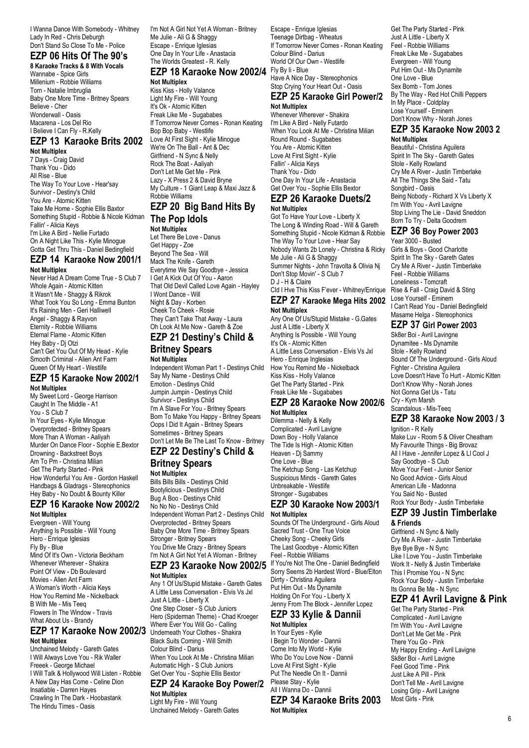I Wanna Dance With Somebody - Whitney Lady In Red - Chris Deburgh Don't Stand So Close To Me - Police

# **EZP 06 Hits Of The 90's**

**8 Karaoke Tracks & 8 With Vocals**

Wannabe - Spice Girls Millenium - Robbie Williams Torn - Natalie Imbruglia Baby One More Time - Britney Spears Believe - Cher Wonderwall - Oasis Macarena - Los Del Rio I Believe I Can Fly - R.Kelly

# **EZP 13 Karaoke Brits 2002**

**Not Multiplex** 7 Days - Craig David Thank You - Dido All Rise - Blue The Way To Your Love - Hear'say Survivor - Destiny's Child You Are - Atomic Kitten Take Me Home - Sophie Ellis Baxtor Something Stupid - Robbie & Nicole Kidman Fallin' - Alicia Keys I'm Like A Bird - Nellie Furtado On A Night Like This - Kylie Minogue Gotta Get Thru This - Daniel Bedingfield

#### **EZP 14 Karaoke Now 2001/1**

**Not Multiplex** Never Had A Dream Come True - S Club 7 Whole Again - Atomic Kitten It Wasn't Me - Shaggy & Rikrok What Took You So Long - Emma Bunton It's Raining Men - Geri Halliwell Angel - Shaggy & Rayvon Eternity - Robbie Williams Eternal Flame - Atomic Kitten Hey Baby - Dj Otzi Can't Get You Out Of My Head - Kylie Smooth Criminal - Alien Ant Farm Queen Of My Heart - Westlife

#### **EZP 15 Karaoke Now 2002/1 Not Multiplex**

My Sweet Lord - George Harrison Caught In The Middle - A1 You - S Club 7 In Your Eyes - Kylie Minogue Overprotected - Britney Spears More Than A Woman - Aaliyah Murder On Dance Floor - Sophie E.Bextor Drowning - Backstreet Boys Am To Pm - Christina Milian Get The Party Started - Pink How Wonderful You Are - Gordon Haskell Handbags & Gladrags - Stereophonics Hey Baby - No Doubt & Bounty Killer

#### **EZP 16 Karaoke Now 2002/2 Not Multiplex**

Evergreen - Will Young Anything Is Possible - Will Young Hero - Enrique Iglesias Fly By - Blue Mind Of It's Own - Victoria Beckham Whenever Wherever - Shakira Point Of View - Db Boulevard Movies - Alien Ant Farm A Woman's Worth - Alicia Keys How You Remind Me - Nickelback B With Me - Mis Teeq Flowers In The Window - Travis What About Us - Brandy

#### **EZP 17 Karaoke Now 2002/3 Not Multiplex**

Unchained Melody - Gareth Gates I Will Always Love You - Rik Waller Freeek - George Michael I Will Talk & Hollywood Will Listen - Robbie A New Day Has Come - Celine Dion Insatiable - Darren Hayes Crawling In The Dark - Hoobastank The Hindu Times - Oasis

I'm Not A Girl Not Yet A Woman - Britney Me Julie - Ali G & Shaggy Escape - Enrique Iglesias One Day In Your Life - Anastacia The Worlds Greatest - R. Kelly

# **EZP 18 Karaoke Now 2002/4**

**Not Multiplex**

Kiss Kiss - Holly Valance Light My Fire - Will Young It's Ok - Atomic Kitten Freak Like Me - Sugababes If Tomorrow Never Comes - Ronan Keating Bop Bop Baby - Westlife Love At First Sight - Kylie Minogue We're On The Ball - Ant & Dec Girlfriend - N Sync & Nelly Rock The Boat - Aaliyah Don't Let Me Get Me - Pink Lazy - X Press 2 & David Bryne My Culture - 1 Giant Leap & Maxi Jazz & Robbie Williams

#### **EZP 20 Big Band Hits By The Pop Idols**

#### **Not Multiplex** Let There Be Love - Danus

Get Happy - Zoe Beyond The Sea - Will Mack The Knife - Gareth Everytime We Say Goodbye - Jessica I Get A Kick Out Of You - Aaron That Old Devil Called Love Again - Hayley I Wont Dance - Will Night & Day - Korben Cheek To Cheek - Rosie They Can't Take That Away - Laura Oh Look At Me Now - Gareth & Zoe

# **EZP 21 Destiny's Child &**

#### **Britney Spears Not Multiplex**

Independent Woman Part 1 - Destinys Child Say My Name - Destinys Child Emotion - Destinys Child Jumpin Jumpin - Destinys Child Survivor - Destinys Child I'm A Slave For You - Britney Spears Born To Make You Happy - Britney Spears Oops I Did It Again - Britney Spears Sometimes - Britney Spears Don't Let Me Be The Last To Know - Britney

#### **EZP 22 Destiny's Child & Britney Spears**

**Not Multiplex** Bills Bills Bills - Destinys Child Bootylicious - Destinys Child Bug A Boo - Destinys Child No No No - Destinys Child Independent Woman Part 2 - Destinys Child Overprotected - Britney Spears Baby One More Time - Britney Spears Stronger - Britney Spears You Drive Me Crazy - Britney Spears I'm Not A Girl Not Yet A Woman - Britney

#### **EZP 23 Karaoke Now 2002/5 Not Multiplex**

Any 1 Of Us/Stupid Mistake - Gareth Gates A Little Less Conversation - Elvis Vs Jxl Just A Little - Liberty X One Step Closer - S Club Juniors Hero (Spiderman Theme) - Chad Kroeger Where Ever You Will Go - Calling Underneath Your Clothes - Shakira Black Suits Coming - Will Smith Colour Blind - Darius When You Look At Me - Christina Milian Automatic High - S Club Juniors Get Over You - Sophie Ellis Bextor

#### **EZP 24 Karaoke Boy Power/2 Not Multiplex**

Light My Fire - Will Young Unchained Melody - Gareth Gates

Escape - Enrique Iglesias Teenage Dirtbag - Wheatus If Tomorrow Never Comes - Ronan Keating Colour Blind - Darius World Of Our Own - Westlife Fly By Ii - Blue Have A Nice Day - Stereophonics Stop Crying Your Heart Out - Oasis

#### **EZP 25 Karaoke Girl Power/2 Not Multiplex**

Whenever Wherever - Shakira I'm Like A Bird - Nelly Futardo When You Look At Me - Christina Milian Round Round - Sugababes You Are - Atomic Kitten Love At First Sight - Kylie Fallin' - Alicia Keys Thank You - Dido One Day In Your Life - Anastacia Get Over You - Sophie Ellis Bextor

#### **EZP 26 Karaoke Duets/2 Not Multiplex**

Got To Have Your Love - Liberty X The Long & Winding Road - Will & Gareth Something Stupid - Nicole Kidman & Robbie The Way To Your Love - Hear Say Nobody Wants 2b Lonely - Christina & Ricky Me Julie - Ali G & Shaggy Summer Nights - John Travolta & Olivia Nj Don't Stop Movin' - S Club 7 D J - H & Claire Cld I Hve This Kiss F'ever - Whitney/Enrique

**EZP 27 Karaoke Mega Hits 2002**

# **Not Multiplex**

Any One Of Us/Stupid Mistake - G.Gates Just A Little - Liberty X Anything Is Possible - Will Young It's Ok - Atomic Kitten A Little Less Conversation - Elvis Vs Jxl Hero - Enrique Inglesias How You Remind Me - Nickelback Kiss Kiss - Holly Valance Get The Party Started - Pink Freak Like Me - Sugababes

#### **EZP 28 Karaoke Now 2002/6 Not Multiplex**

Dilemma - Nelly & Kelly Complicated - Avril Lavigne Down Boy - Holly Valance The Tide Is High - Atomic Kitten Heaven - Di Sammy One Love - Blue The Ketchup Song - Las Ketchup Suspicious Minds - Gareth Gates Unbreakable - Westlife Stronger - Sugababes

#### **EZP 30 Karaoke Now 2003/1 Not Multiplex**

Sounds Of The Underground - Girls Aloud Sacred Trust - One True Voice Cheeky Song - Cheeky Girls The Last Goodbye - Atomic Kitten Feel - Robbie Williams If You're Not The One - Daniel Bedingfield Sorry Seems 2b Hardest Word - Blue/Elton Dirrty - Christina Aguilera Put Him Out - Ms Dynamite Holding On For You - Liberty X Jenny From The Block - Jennifer Lopez

#### **EZP 33 Kylie & Dannii Not Multiplex**

In Your Eyes - Kylie I Begin To Wonder - Dannii Come Into My World - Kylie Who Do You Love Now - Dannii Love At First Sight - Kylie Put The Needle On It - Dannii Please Stay - Kylie All I Wanna Do - Dannii

**EZP 34 Karaoke Brits 2003 Not Multiplex**

Get The Party Started - Pink Just A Little - Liberty X Feel - Robbie Williams Freak Like Me - Sugababes Evergreen - Will Young Put Him Out - Ms Dynamite One Love - Blue Sex Bomb - Tom Jones By The Way - Red Hot Chilli Peppers In My Place - Coldplay Lose Yourself - Eminem Don't Know Why - Norah Jones

#### **EZP 35 Karaoke Now 2003 2**

**Not Multiplex** Beautiful - Christina Aguilera Spirit In The Sky - Gareth Gates Stole - Kelly Rowland Cry Me A River - Justin Timberlake All The Things She Said - Tatu Songbird - Oasis Being Nobody - Richard X Vs Liberty X I'm With You - Avril Lavigne Stop Living The Lie - David Sneddon Born To Try - Delta Goodrem

# **EZP 36 Boy Power 2003**

Year 3000 - Busted Girls & Boys - Good Charlotte Spirit In The Sky - Gareth Gates Cry Me A River - Justin Timberlake Feel - Robbie Williams Loneliness - Tomcraft Rise & Fall - Craig David & Sting Lose Yourself - Eminem I Can't Read You - Daniel Bedingfield Masame Helga - Stereophonics

### **EZP 37 Girl Power 2003**

Sk8er Boi - Avril Lavingne Dynamitee - Ms Dynamite Stole - Kelly Rowland Sound Of The Underground - Girls Aloud Fighter - Christina Aguilera Love Doesn't Have To Hurt - Atomic Kitten Don't Know Why - Norah Jones Not Gonna Get Us - Tatu Cry - Kym Marsh Scandalous - Mis-Teeq

# **EZP 38 Karaoke Now 2003 / 3**

Ignition - R Kelly Make Luv - Room 5 & Oliver Cheatham My Favourite Things - Big Brovaz All I Have - Jennifer Lopez & Ll Cool J Say Goodbye - S Club Move Your Feet - Junior Senior No Good Advice - Girls Aloud American Life - Madonna You Said No - Busted Rock Your Body - Justin Timberlake

#### **EZP 39 Justin Timberlake & Friends**

Girlfriend - N Sync & Nelly Cry Me A River - Justin Timberlake Bye Bye Bye - N Sync Like I Love You - Justin Timberlake Work It - Nelly & Justin Timberlake This I Promise You - N Sync Rock Your Body - Justin Timberlake Its Gonna Be Me - N Sync

# **EZP 41 Avril Lavigne & Pink**

Get The Party Started - Pink Complicated - Avril Lavigne I'm With You - Avril Lavigne Don't Let Me Get Me - Pink There You Go - Pink My Happy Ending - Avril Lavigne Sk8er Boi - Avril Lavigne Feel Good Time - Pink Just Like A Pill - Pink Don't Tell Me - Avril Lavigne Losing Grip - Avril Lavigne Most Girls - Pink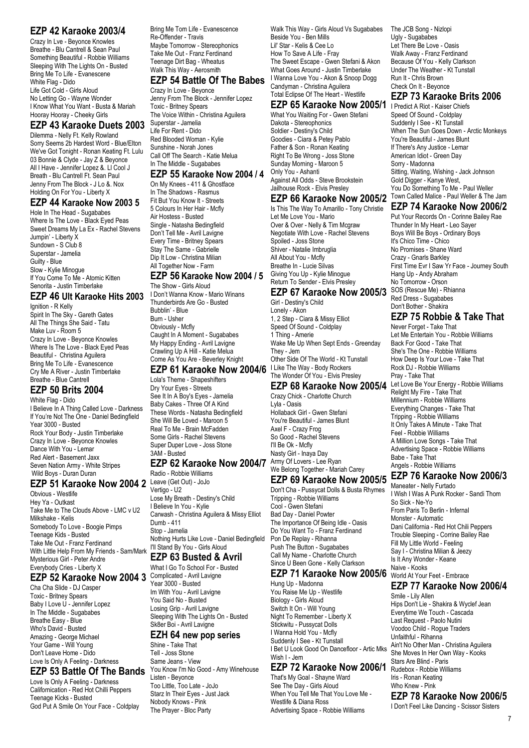# **EZP 42 Karaoke 2003/4**

Crazy In Lve - Beyonce Knowles Breathe - Blu Cantrell & Sean Paul Something Beautiful - Robbie Williams Sleeping With The Lights On - Busted Bring Me To Life - Evanescene White Flag - Dido Life Got Cold - Girls Aloud No Letting Go - Wayne Wonder I Know What You Want - Busta & Mariah Hooray Hooray - Cheeky Girls

#### **EZP 43 Karaoke Duets 2003**

Dilemma - Nelly Ft. Kelly Rowland Sorry Seems 2b Hardest Word - Blue/Elton We've Got Tonight - Ronan Keating Ft. Lulu 03 Bonnie & Clyde - Jay Z & Beyonce All I Have - Jennifer Lopez &. Ll Cool J Breath - Blu Cantrell Ft. Sean Paul Jenny From The Block - J Lo &. Nox Holding On For You - Liberty X

## **EZP 44 Karaoke Now 2003 5**

Hole In The Head - Sugababes Where Is The Love - Black Eyed Peas Sweet Dreams My La Ex - Rachel Stevens Jumpin' - Liberty X Sundown - S Club 8 Superstar - Jamelia Guilty - Blue Slow - Kylie Minogue If You Come To Me - Atomic Kitten Senorita - Justin Timberlake

#### **EZP 46 Ult Karaoke Hits 2003**

Ignition - R Kelly Spirit In The Sky - Gareth Gates All The Things She Said - Tatu Make Luv - Room 5 Crazy In Love - Beyonce Knowles Where Is The Love - Black Eyed Peas Beautiful - Christina Aguilera Bring Me To Life - Evanescence Cry Me A River - Justin Timberlake Breathe - Blue Cantrell

# **EZP 50 Brits 2004**

White Flag - Dido I Believe In A Thing Called Love - Darkness If You're Not The One - Daniel Bedingfield Year 3000 - Busted Rock Your Body - Justin Timberlake Crazy In Love - Beyonce Knowles Dance With You - Lemar Red Alert - Basement Jaxx Seven Nation Army - White Stripes Wild Boys - Duran Duran

# **EZP 51 Karaoke Now 2004 2** Leave (Get Out) - JoJo

Obvious - Westlife Hey Ya - Outkast Take Me to The Clouds Above - LMC v U2 Milkshake - Kelis Somebody To Love - Boogie Pimps Teenage Kids - Busted Take Me Out - Franz Ferdinand With Little Help From My Friends - Sam/Mark Mysterious Girl - Peter Andre Everybody Cries - Liberty X

## **EZP 52 Karaoke Now 2004 3**

Cha Cha Slide - DJ Casper Toxic - Britney Spears Baby I Love U - Jennifer Lopez In The Middle - Sugababes Breathe Easy - Blue Who's David - Busted Amazing - George Michael Your Game - Will Young Don't Leave Home - Dido Love Is Only A Feeling - Darkness

# **EZP 53 Battle Of The Bands**

Love Is Only A Feeling - Darkness Californication - Red Hot Chilli Peppers Teenage Kicks - Busted God Put A Smile On Your Face - Coldplay Bring Me Tom Life - Evanescence Re-Offender - Travis Maybe Tomorrow - Stereophonics Take Me Out - Franz Ferdinand Teenage Dirt Bag - Wheatus Walk This Way - Aerosmith

# **EZP 54 Battle Of The Babes**

Crazy In Love - Beyonce Jenny From The Block - Jennifer Lopez Toxic - Britney Spears The Voice Within - Christina Aguilera Superstar - Jamelia Life For Rent - Dido Red Blooded Woman - Kylie Sunshine - Norah Jones Call Off The Search - Katie Melua In The Middle - Sugababes

#### **EZP 55 Karaoke Now 2004 / 4**

On My Knees - 411 & Ghostface In The Shadows - Rasmus Fit But You Know It - Streets 5 Colours In Her Hair - Mcfly Air Hostess - Busted Single - Natasha Bedingfield Don't Tell Me - Avril Lavigne Every Time - Britney Spears Stay The Same - Gabrielle Dip It Low - Christina Milian All Together Now - Farm

#### **EZP 56 Karaoke Now 2004 / 5**

The Show - Girls Aloud I Don't Wanna Know - Mario Winans Thunderbirds Are Go - Busted Bubblin' - Blue Burn - Usher Obviously - Mcfly Caught In A Moment - Sugababes My Happy Ending - Avril Lavigne Crawling Up A Hill - Katie Melua Come As You Are - Beverley Knight

#### **EZP 61 Karaoke Now 2004/6**

Lola's Theme - Shapeshifters Dry Your Eyes - Streets See It In A Boy's Eyes - Jamelia Baby Cakes - Three Of A Kind These Words - Natasha Bedingfield She Will Be Loved - Maroon 5 Real To Me - Brain McFadden Some Girls - Rachel Stevens Super Duper Love - Joss Stone 3AM - Busted

# **EZP 62 Karaoke Now 2004/7** Army Of Lovers - Lee Ryan

Radio - Robbie Williams Vertigo - U2 Lose My Breath - Destiny's Child I Believe In You - Kylie Carwash - Christina Aguilera & Missy Elliot Dumb - 411 Stop - Jamelia Nothing Hurts Like Love - Daniel Bedingfield I'll Stand By You - Girls Aloud

# **EZP 63 Busted & Avril**

What I Go To School For - Busted Complicated - Avril Lavigne Year 3000 - Busted Im With You - Avril Lavigne You Said No - Busted Losing Grip - Avril Lavigne Sleeping With The Lights On - Busted Sk8er Boi - Avril Lavigne

#### **EZH 64 new pop series**

Shine - Take That Tell - Joss Stone Same Jeans - View You Know I'm No Good - Amy Winehouse Listen - Beyonce Too Little, Too Late - JoJo Starz In Their Eyes - Just Jack Nobody Knows - Pink The Prayer - Bloc Party

Walk This Way - Girls Aloud Vs Sugababes Beside You - Ben Mills Lil' Star - Kelis & Cee Lo How To Save A Life - Fray The Sweet Escape - Gwen Stefani & Akon What Goes Around - Justin Timberlake I Wanna Love You - Akon & Snoop Dogg Candyman - Christina Aguilera Total Eclipse Of The Heart - Westlife

#### **EZP 65 Karaoke Now 2005/1**

What You Waiting For - Gwen Stefani Dakota - Stereophonics Soldier - Destiny's Child Goodies - Ciara & Petey Pablo Father & Son - Ronan Keating Right To Be Wrong - Joss Stone Sunday Morning - Maroon 5 Only You - Ashanti Against All Odds - Steve Brookstein Jailhouse Rock - Elvis Presley

Is This The Way To Amarillo - Tony Christie Let Me Love You - Mario Over & Over - Nelly & Tim Mcgraw Negotiate With Love - Rachel Stevens Spoiled - Joss Stone Shiver - Natalie Imbruglia All About You - Mcfly Breathe In - Lucie Silvas Giving You Up - Kylie Minogue Return To Sender - Elvis Presley

### **EZP 67 Karaoke Now 2005/3**

Girl - Destiny's Child Lonely - Akon 1, 2 Step - Ciara & Missy Elliot Speed Of Sound - Coldplay 1 Thing - Amerie Wake Me Up When Sept Ends - Greenday They - Jem Other Side Of The World - Kt Tunstall I Like The Way - Body Rockers The Wonder Of You - Elvis Presley

#### **EZP 68 Karaoke Now 2005/4**

Crazy Chick - Charlotte Church Lyla - Oasis Hollaback Girl - Gwen Stefani You're Beautiful - James Blunt Axel F - Crazy Frog So Good - Rachel Stevens I'll Be Ok - Mcfly Nasty Girl - Inaya Day We Belong Together - Mariah Carey

#### **EZP 69 Karaoke Now 2005/5**  Don't Cha - Pussycat Dolls & Busta Rhymes Tripping - Robbie Williams

Cool - Gwen Stefani Bad Day - Daniel Powter The Importance Of Being Idle - Oasis Do You Want To - Franz Ferdinand Pon De Replay - Rihanna Push The Button - Sugababes Call My Name - Charlotte Church Since U Been Gone - Kelly Clarkson

### **EZP 71 Karaoke Now 2005/6** World At Your Feet - Embrace

Hung Up - Madonna You Raise Me Up - Westlife Biology - Girls Aloud Switch It On - Will Young Night To Remember - Liberty X Stickwitu - Pussycat Dolls I Wanna Hold You - Mcfly Suddenly I See - Kt Tunstall I Bet U Look Good On Dancefloor - Artic Mks Wish I - Jem

# **EZP 72 Karaoke Now 2006/1**

That's My Goal - Shayne Ward See The Day - Girls Aloud When You Tell Me That You Love Me - Westlife & Diana Ross Advertising Space - Robbie Williams

The JCB Song - Nizlopi Ugly - Sugababes Let There Be Love - Oasis Walk Away - Franz Ferdinand Because Of You - Kelly Clarkson Under The Weather - Kt Tunstall Run It - Chris Brown Check On It - Beyonce

## **EZP 73 Karaoke Brits 2006**

**EZP 66 Karaoke Now 2005/2** Town Called Malice - Paul Weller & The Jam I Predict A Riot - Kaiser Chiefs Speed Of Sound - Coldplay Suddenly I See - Kt Tunstall When The Sun Goes Down - Arctic Monkeys You're Beautiful - James Blunt If There's Any Justice - Lemar American Idiot - Green Day Sorry - Madonna Sitting, Waiting, Wishing - Jack Johnson Gold Digger - Kanye West, You Do Something To Me - Paul Weller

#### **EZP 74 Karaoke Now 2006/2**

Put Your Records On - Corinne Bailey Rae Thunder In My Heart - Leo Sayer Boys Will Be Boys - Ordinary Boys It's Chico Time - Chico No Promises - Shane Ward Crazy - Gnarls Barkley First Time Evr I Saw Yr Face - Journey South Hang Up - Andy Abraham No Tomorrow - Orson SOS (Rescue Me) - Rhianna Red Dress - Sugababes Don't Bother - Shakira

# **EZP 75 Robbie & Take That**

Never Forget - Take That Let Me Entertain You - Robbie Williams Back For Good - Take That She's The One - Robbie Williams How Deep Is Your Love - Take That Rock DJ - Robbie Williams Pray - Take That Let Love Be Your Energy - Robbie Williams Relight My Fire - Take That Millennium - Robbie Williams Everything Changes - Take That Tripping - Robbie Williams It Only Takes A Minute - Take That Feel - Robbie Williams A Million Love Songs - Take That Advertising Space - Robbie Williams Babe - Take That Angels - Robbie Williams

## **EZP 76 Karaoke Now 2006/3**

Maneater - Nelly Furtado I Wish I Was A Punk Rocker - Sandi Thom So Sick - Ne-Yo From Paris To Berlin - Infernal Monster - Automatic Dani California - Red Hot Chili Peppers Trouble Sleeping - Corrine Bailey Rae Fill My Little World - Feeling Say I - Christina Milian & Jeezy Is It Any Wonder - Keane Naive - Kooks

## **EZP 77 Karaoke Now 2006/4**

Smile - Lily Allen Hips Don't Lie - Shakira & Wyclef Jean Everytime We Touch - Cascada Last Request - Paolo Nutini Voodoo Child - Rogue Traders Unfaithful - Rihanna Ain't No Other Man - Christina Aguilera She Moves In Her Own Way - Kooks Stars Are Blind - Paris Rudebox - Robbie Williams Iris - Ronan Keating Who Knew - Pink

## **EZP 78 Karaoke Now 2006/5**

I Don't Feel Like Dancing - Scissor Sisters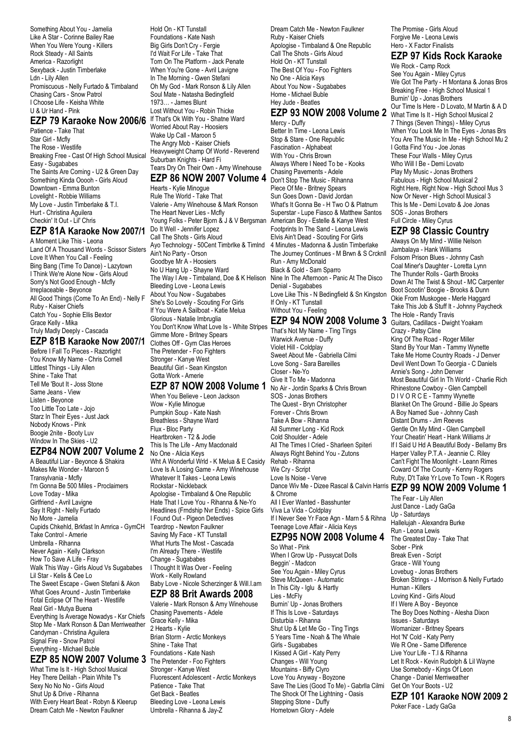Something About You - Jamelia Like A Star - Corinne Bailey Rae When You Were Young - Killers Rock Steady - All Saints America - Razorlight Sexyback - Justin Timberlake Ldn - Lily Allen Promiscuous - Nelly Furtado & Timbaland Chasing Cars - Snow Patrol I Choose Life - Keisha White U & Ur Hand - Pink

# **EZP 79 Karaoke Now 2006/6**

Patience - Take That Star Girl - Mcfly The Rose - Westlife Breaking Free - Cast Of High School Musical Easy - Sugababes The Saints Are Coming - U2 & Green Day Something Kinda Ooooh - Girls Aloud Downtown - Emma Bunton Lovelight - Robbie Williams My Love - Justin Timberlake & T.I. Hurt - Christina Aguilera Checkin' It Out - Lil' Chris

#### **EZP 81A Karaoke Now 2007/1**

A Moment Like This - Leona Land Of A Thousand Words - Scissor Sisters Love It When You Call - Feeling Bing Bang (Time To Dance) - Lazytown I Think We're Alone Now - Girls Aloud Sorry's Not Good Enough - Mcfly Irreplaceable - Beyonce All Good Things (Come To An End) - Nelly F Ruby - Kaiser Chiefs Catch You - Sophie Ellis Bextor Grace Kelly - Mika Truly Madly Deeply - Cascada

# **EZP 81B Karaoke Now 2007/1**

Before I Fall To Pieces - Razorlight You Know My Name - Chris Comell Littlest Things - Lily Allen Shine - Take That Tell Me 'Bout It - Joss Stone Same Jeans - View Listen - Beyonce Too Little Too Late - Jojo Starz In Their Eyes - Just Jack Nobody Knows - Pink Boogie 2nite - Booty Luv Window In The Skies - U2

#### **EZP84 NOW 2007 Volume 2**

A Beautiful Liar - Beyonce & Shakira Makes Me Wonder - Maroon 5 Transylvania - Mcfly I'm Gonna Be 500 Miles - Proclaimers Love Today - Mika Girlfriend - Avril Lavigne Say It Right - Nelly Furtado No More - Jamelia Cupids Chkehld, Brkfast In Amrica - GymCH Take Control - Amerie Umbrella - Rihanna Never Again - Kelly Clarkson How To Save A Life - Fray Walk This Way - Girls Aloud Vs Sugababes Lil Star - Kelis & Cee Lo The Sweet Escape - Gwen Stefani & Akon What Goes Around - Justin Timberlake Total Eclipse Of The Heart - Westlife Real Girl - Mutya Buena Everything Is Average Nowadys - Ksr Chiefs Stop Me - Mark Ronson & Dan Merriweather Candyman - Christina Aguilera Signal Fire - Snow Patrol Everything - Michael Buble

## **EZP 85 NOW 2007 Volume 3**

What Time Is It - High School Musical Hey There Delilah - Plain White T's Sexy No No No - Girls Aloud Shut Up & Drive - Rihanna With Every Heart Beat - Robyn & Kleerup Dream Catch Me - Newton Faulkner

Hold On - KT Tunstall Foundations - Kate Nash Big Girls Don't Cry - Fergie I'd Wait For Life - Take That Torn On The Platform - Jack Penate When You're Gone - Avril Lavigne In The Morning - Gwen Stefani Oh My God - Mark Ronson & Lily Allen Soul Mate - Natasha Bedingfield 1973… - James Blunt Lost Without You - Robin Thicke If That's Ok With You - Shatne Ward Worried About Ray - Hoosiers Wake Up Call - Maroon 5 The Angry Mob - Kaiser Chiefs Heavyweight Champ Of World - Reverend Suburban Knights - Hard Fi

#### Tears Dry On Their Own - Amy Winehouse **EZP 86 NOW 2007 Volume 4**

Hearts - Kylie Minogue Rule The World - Take That Valerie - Amy Winehouse & Mark Ronson The Heart Never Lies - Mcfly Young Folks - Peter Bjorn & J & V Bergsman Do It Well - Jennifer Lopez Call The Shots - Girls Aloud Ayo Technology - 50Cent Timbrlke & Timlnd Ain't No Party - Orson Goodbye Mr A - Hoosiers No U Hang Up - Shayne Ward The Way I Are - Timbaland, Doe & K Helison Nine In The Afternoon - Panic At The Disco Bleeding Love - Leona Lewis About You Now - Sugababes She's So Lovely - Scouting For Girls If You Were A Sailboat - Katie Melua Glorious - Natalie Imbruglia You Don't Know What Love Is - White Stripes Gimme More - Britney Spears Clothes Off - Gym Clas Heroes The Pretender - Foo Fighters Stronger - Kanye West Beautiful Girl - Sean Kingston Gotta Work - Amerie

#### **EZP 87 NOW 2008 Volume 1**

When You Believe - Leon Jackson Wow - Kylie Minogue Pumpkin Soup - Kate Nash Breathless - Shayne Ward Flux - Bloc Party Heartbroken - T2 & Jodie This Is The Life - Amy Macdonald No One - Alicia Keys Wht A Wonderful Wrld - K Melua & E Casidy Love Is A Losing Game - Amy Winehouse Whatever It Takes - Leona Lewis Rockstar - Nickleback Apologise - Timbaland & One Republic Hate That I Love You - Rihanna & Ne-Yo Headlines (Frndship Nvr Ends) - Spice Girls I Found Out - Pigeon Detectives Teardrop - Newton Faulkner Saving My Face - KT Tunstall What Hurts The Most - Cascada I'm Already There - Westlife Change - Sugababes I Thought It Was Over - Feeling Work - Kelly Rowland Baby Love - Nicole Scherzinger & Will.I.am **EZP 88 Brit Awards 2008**

Valerie - Mark Ronson & Amy Winehouse Chasing Pavements - Adele Grace Kelly - Mika 2 Hearts - Kylie Brian Storm - Arctic Monkeys Shine - Take That Foundations - Kate Nash The Pretender - Foo Fighters Stronger - Kanye West Fluorescent Adolescent - Arctic Monkeys Patience - Take That Get Back - Beatles Bleeding Love - Leona Lewis Umbrella - Rihanna & Jay-Z

Dream Catch Me - Newton Faulkner Ruby - Kaiser Chiefs Apologise - Timbaland & One Republic Call The Shots - Girls Aloud Hold On - KT Tunstall The Best Of You - Foo Fighters No One - Alicia Keys About You Now - Sugababes Home - Michael Buble Hey Jude - Beatles

#### **EZP 93 NOW 2008 Volume 2** What Time Is It - High School Musical 2 Mercy - Duffy

Better In Time - Leona Lewis Stop & Stare - One Republic Fascination - Alphabeat With You - Chris Brown Always Where I Need To be - Kooks Chasing Pavements - Adele Don't Stop The Music - Rihanna Piece Of Me - Britney Spears Sun Goes Down - David Jordan What's It Gonna Be - H Two O & Platnum Superstar - Lupe Fiasco & Matthew Santos American Boy - Estelle & Kanye West Footprints In The Sand - Leona Lewis Elvis Ain't Dead - Scouting For Girls 4 Minutes - Madonna & Justin Timberlake The Journey Continues - M Brwn & S Crcknll Run - Amy McDonald Black & Gold - Sam Sparro Denial - Sugababes Love Like This - N Bedingfield & Sn Kingston If Only - KT Tunstall Without You - Feeling

# **EZP 94 NOW 2008 Volume 3** Guitars, Cadillacs - Dwight Yoakam

That's Not My Name - Ting Tings Warwick Avenue - Duffy Violet Hill - Coldplay Sweet About Me - Gabriella Cilmi Love Song - Sara Bareilles Closer - Ne-Yo Give It To Me - Madonna No Air - Jordin Sparks & Chris Brown SOS - Jonas Brothers The Quest - Bryn Christopher Forever - Chris Brown Take A Bow - Rihanna All Summer Long - Kid Rock Cold Shoulder - Adele All The Times I Cried - Sharleen Spiteri Always Right Behind You - Zutons Rehab - Rihanna We Cry - Script Love Is Noise - Verve Dance Wiv Me - Dizee Rascal & Calvin Harris **EZP 99 NOW 2009 Volume 1** & Chrome All I Ever Wanted - Basshunter Viva La Vida - Coldplay If I Never See Yr Face Agn - Marn 5 & Rihna Teenage Love Affair - Alicia Keys

# **EZP95 NOW 2008 Volume 4**

So What - Pink When I Grow Up - Pussycat Dolls Beggin' - Madcon See You Again - Miley Cyrus Steve McQueen - Automatic In This City - Iglu & Hartly Lies - McFly Burnin' Up - Jonas Brothers If This Is Love - Saturdays Disturbia - Rihanna Shut Up & Let Me Go - Ting Tings 5 Years Time - Noah & The Whale Girls - Sugababes I Kissed A Girl - Katy Perry Changes - Will Young Mountains - Biffy Clyro Love You Anyway - Boyzone Save The Lies (Good To Me) - Gabrlla Cilmi The Shock Of The Lightning - Oasis Stepping Stone - Duffy Hometown Glory - Adele

The Promise - Girls Aloud Forgive Me - Leona Lewis Hero - X Factor Finalists

## **EZP 97 Kids Rock Karaoke**

We Rock - Camp Rock See You Again - Miley Cyrus We Got The Party - H Montana & Jonas Bros Breaking Free - High School Musical 1 Burnin' Up - Jonas Brothers Our Time Is Here - D Lovato, M Martin & A D 7 Things (Seven Things) - Miley Cyrus When You Look Me In The Eyes - Jonas Brs You Are The Music In Me - High School Mu 2 I Gotta Find You - Joe Jonas These Four Walls - Miley Cyrus Who Will I Be - Demi Lovato Play My Music - Jonas Brothers Fabulous - High School Musical 2 Right Here, Right Now - High School Mus 3 Now Or Never - High School Musical 3 This Is Me - Demi Lovato & Joe Jonas SOS - Jonas Brothers Full Circle - Miley Cyrus

# **EZP 98 Classic Country**

Always On My Mind - Willie Nelson Jambalaya - Hank Williams Folsom Prison Blues - Johnny Cash Coal Miner's Daughter - Loretta Lynn The Thunder Rolls - Garth Brooks Down At The Twist & Shout - MC Carpenter Boot Scootin' Boogie - Brooks & Dunn Okie From Muskogee - Merle Haggard Take This Job & Stuff It - Johnny Paycheck The Hole - Randy Travis Crazy - Patsy Cline King Of The Road - Roger Miller Stand By Your Man - Tammy Wynette Take Me Home Country Roads - J Denver Devil Went Down To Georgia - C Daniels Annie's Song - John Denver Most Beautiful Girl In Th World - Charlie Rich Rhinestone Cowboy - Glen Campbell D I V O R C E - Tammy Wynette Blanket On The Ground - Billie Jo Spears A Boy Named Sue - Johnny Cash Distant Drums - Jim Reeves Gentle On My Mind - Glen Campbell Your Cheatin' Heart - Hank Williams Jr If I Said U Hd A Beautiful Body - Bellamy Brs Harper Valley P.T.A - Jeannie C. Riley Can't Fight The Moonlight - Leann Rimes Coward Of The County - Kenny Rogers Ruby, D't Take Yr Love To Town - K Rogers

The Fear - Lily Allen Just Dance - Lady GaGa Up - Saturdays Hallelujah - Alexandra Burke Run - Leona Lewis The Greatest Day - Take That Sober - Pink Break Even - Script Grace - Will Young Lovebug - Jonas Brothers Broken Strings - J Morrison & Nelly Furtado Human - Killers Loving Kind - Girls Aloud If I Were A Boy - Beyonce The Boy Does Nothing - Alesha Dixon Issues - Saturdays Womanizer - Britney Spears Hot 'N' Cold - Katy Perry We R One - Same Difference Live Your Life - T.I & Rihanna Let It Rock - Kevin Rudolph & Lil Wayne Use Somebody - Kings Of Leon Change - Daniel Merriweather Get On Your Boots - U2

**EZP 101 Karaoke NOW 2009 2** Poker Face - Lady GaGa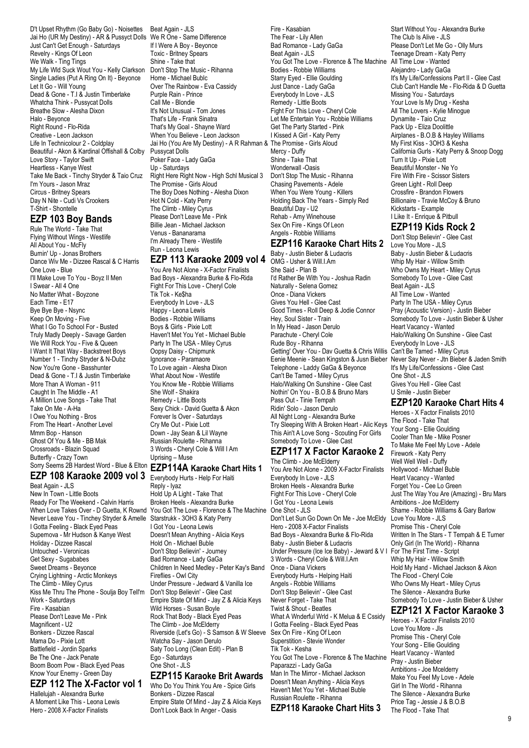D't Upset Rhythm (Go Baby Go) - Noisettes Jai Ho (UR My Destiny) - AR & Pussyct Dolls We R One - Same Difference Just Can't Get Enough - Saturdays Revelry - Kings Of Leon We Walk - Ting Tings My Life Wld Suck Wout You - Kelly Clarkson Single Ladies (Put A Ring On It) - Beyonce Let It Go - Will Young Dead & Gone - T.I & Justin Timberlake Whatcha Think - Pussycat Dolls Breathe Slow - Alesha Dixon Halo - Beyonce Right Round - Flo-Rida Creative - Leon Jackson Life In Technicolour 2 - Coldplay Beautiful - Akon & Kardinal Offishall & Colby Love Story - Taylor Swift Heartless - Kanye West Take Me Back - Tinchy Stryder & Taio Cruz I'm Yours - Jason Mraz Circus - Britney Spears Day N Nite - Cudi Vs Crookers T-Shirt - Shontelle

# **EZP 103 Boy Bands**

Rule The World - Take That Flying Without Wings - Westlife All About You - McFly Burnin' Up - Jonas Brothers Dance Wiv Me - Dizzee Rascal & C Harris One Love - Blue I'll Make Love To You - Boyz II Men I Swear - All 4 One No Matter What - Boyzone Each Time - E17 Bye Bye Bye - Nsync Keep On Moving - Five What I Go To School For - Busted Truly Madly Deeply - Savage Garden We Will Rock You - Five & Queen I Want It That Way - Backstreet Boys Number 1 - Tinchy Stryder & N-Dubz Now You're Gone - Basshunter Dead & Gone - T.I & Justin Timberlake More Than A Woman - 911 Caught In The Middle - A1 A Million Love Songs - Take That Take On Me - A-Ha I Owe You Nothing - Bros From The Heart - Another Level Mmm Bop - Hanson Ghost Of You & Me - BB Mak Crossroads - Blazin Squad Butterfly - Crazy Town

**EZP 108 Karaoke 2009 vol 3** Everybody Hurts - Help For Haiti

Beat Again - JLS New In Town - Little Boots Ready For The Weekend - Calvin Harris When Love Takes Over - D Guetta, K Rownd You Got The Love - Florence & The Machine Never Leave You - Tinchey Stryder & Amelle I Gotta Feeling - Black Eyed Peas Supernova - Mr Hudson & Kanye West Holiday - Dizzee Rascal Untouched - Veronicas Get Sexy - Sugababes Sweet Dreams - Beyonce Crying Lightning - Arctic Monkeys The Climb - Miley Cyrus Kiss Me Thru The Phone - Soulja Boy Tell'm Work - Saturdays Fire - Kasabian Please Don't Leave Me - Pink Magnificent - U2 Bonkers - Dizzee Rascal Mama Do - Pixie Lott Battlefield - Jordin Sparks Be The One - Jack Penate Boom Boom Pow - Black Eyed Peas Know Your Enemy - Green Day

# **EZP 112 The X-Factor vol 1**

Hallelujah - Alexandra Burke A Moment Like This - Leona Lewis Hero - 2008 X-Factor Finalists

Beat Again - JLS If I Were A Boy - Beyonce Toxic - Britney Spears Shine - Take that Don't Stop The Music - Rihanna Home - Michael Bublc Over The Rainbow - Eva Cassidy Purple Rain - Prince Call Me - Blondie It's Not Unusual - Tom Jones That's Life - Frank Sinatra That's My Goal - Shayne Ward When You Believe - Leon Jackson Jai Ho (You Are My Destiny) - A R Rahman & The Promise - Girls Aloud Pussycat Dolls Poker Face - Lady GaGa Up - Saturdays Right Here Right Now - High Schl Musical 3 The Promise - Girls Aloud The Boy Does Nothing - Alesha Dixon Hot N Cold - Katy Perry The Climb - Miley Cyrus Please Don't Leave Me - Pink Billie Jean - Michael Jackson Venus - Bananarama I'm Already There - Westlife Run - Leona Lewis

#### **EZP 113 Karaoke 2009 vol 4**

You Are Not Alone - X-Factor Finalists Bad Boys - Alexandra Burke & Flo-Rida Fight For This Love - Cheryl Cole Tik Tok - Ke\$ha Everybody In Love - JLS Happy - Leona Lewis Bodies - Robbie Williams Boys & Girls - Pixie Lott Haven't Met You Yet - Michael Buble Party In The USA - Miley Cyrus Oopsy Daisy - Chipmunk Ignorance - Paramaore To Love again - Alesha Dixon What About Now - Westlife You Know Me - Robbie Williams She Wolf - Shakira Remedy - Little Boots Sexy Chick - David Guetta & Akon Forever Is Over - Saturdays Cry Me Out - Pixie Lott Down - Jay Sean & Lil Wayne Russian Roulette - Rihanna 3 Words - Cheryl Cole & Will I Am Uprising – Muse

#### Sorry Seems 2B Hardest Word - Blue & Elton **EZP114A Karaoke Chart Hits 1**

Reply - Iyaz Hold Up A Light - Take That Broken Heels - Alexandra Burke Starstrukk - 3OH3 & Katy Perry I Got You - Leona Lewis Doesn't Mean Anything - Alicia Keys Hold On - Michael Buble Don't Stop Believin' - Journey Bad Romance - Lady GaGa Children In Need Medley - Peter Kay's Band Fireflies - Owl City Under Pressure - Jedward & Vanilla Ice Don't Stop Believin' - Glee Cast Empire State Of Mind - Jay Z & Alicia Keys Wild Horses - Susan Boyle Rock That Body - Black Eyed Peas The Climb - Joe McElderry Riverside (Let's Go) - S Samson & W Sleeve Watcha Say - Jason Derulo Saty Too Long (Clean Edit) - Plan B Ego - Saturdays One Shot - JLS

#### **EZP115 Karaoke Brit Awards**

Who Do You Think You Are - Spice Girls Bonkers - Dizzee Rascal Empire State Of Mind - Jay Z & Alicia Keys Don't Look Back In Anger - Oasis

Fire - Kasabian The Fear - Lily Allen Bad Romance - Lady GaGa Beat Again - JLS You Got The Love - Florence & The Machine All Time Low - Wanted Bodies - Robbie Williams Starry Eyed - Ellie Goulding Just Dance - Lady GaGa Everybody In Love - JLS Remedy - Little Boots Fight For This Love - Cheryl Cole Let Me Entertain You - Robbie Williams Get The Party Started - Pink I Kissed A Girl - Katy Perry Mercy - Duffy Shine - Take That Wonderwall -Oasis Don't Stop The Music - Rihanna Chasing Pavements - Adele When You Were Young - Killers Holding Back The Years - Simply Red Beautiful Day - U2 Rehab - Amy Winehouse Sex On Fire - Kings Of Leon Angels - Robbie Williams

# **EZP116 Karaoke Chart Hits 2**

Baby - Justin Bieber & Ludacris OMG - Usher & Will.I.Am She Said - Plan B I'd Rather Be With You - Joshua Radin Naturally - Selena Gomez Once - Diana Vickers Gives You Hell - Glee Cast Good Times - Roll Deep & Jodie Connor Hey, Soul Sister - Train In My Head - Jason Derulo Parachute - Cheryl Cole Rude Boy - Rihanna Getting' Over You - Dav Guetta & Chris Willis Can't Be Tamed - Miley Cyrus Eenie Meenie - Sean Kingston & Jusn Bieber Never Say Never - Jtn Bieber & Jaden Smith Telephone - Laddy GaGa & Beyonce Can't Be Tamed - Miley Cyrus Halo/Walking On Sunshine - Glee Cast Nothin' On You - B.O.B & Bruno Mars Pass Out - Tinie Tempah Ridin' Solo - Jason Derulo All Night Long - Alexandra Burke Try Sleeping With A Broken Heart - Alic Keys This Ain't A Love Song - Scouting For Girls Somebody To Love - Glee Cast

## **EZP117 X Factor Karaoke 2**

The Climb - Joe McElderry You Are Not Alone - 2009 X-Factor Finalists Everybody In Love - JLS Broken Heels - Alexandra Burke Fight For This Love - Cheryl Cole I Got You - Leona Lewis One Shot - JLS Don't Let Sun Go Down On Me - Joe McEldy Hero - 2008 X-Factor Finalists Bad Boys - Alexandra Burke & Flo-Rida Baby - Justin Bieber & Ludacris Under Pressure (Ice Ice Baby) - Jeward & V I 3 Words - Cheryl Cole & Will.I.Am Once - Diana Vickers Everybody Hurts - Helping Haiti Angels - Robbie Williams Don't Stop Believin' - Glee Cast Never Forget - Take That Twist & Shout - Beatles What A Wnderful Wrld - K Melua & E Cssidy I Gotta Feeling - Black Eyed Peas Sex On Fire - King Of Leon Superstition - Stevie Wonder Tik Tok - Kesha You Got The Love - Florence & The Machine Paparazzi - Lady GaGa Man In The Mirror - Michael Jackson Doesn't Mean Anything - Alicia Keys Haven't Met You Yet - Michael Buble Russian Roulette - Rihanna **EZP118 Karaoke Chart Hits 3**

Start Without You - Alexandra Burke The Club Is Alive - JLS Please Don't Let Me Go - Olly Murs Teenage Dream - Katy Perry Alejandro - Lady GaGa It's My Life/Confessions Part II - Glee Cast Club Can't Handle Me - Flo-Rida & D Guetta Missing You - Saturdays Your Love Is My Drug - Kesha All The Lovers - Kylie Minogue Dynamite - Taio Cruz Pack Up - Eliza Doolittle Airplanes - B.O.B & Hayley Williams My First Kiss - 3OH3 & Kesha California Gurls - Katy Perry & Snoop Dogg Turn It Up - Pixie Lott Beautiful Monster - Ne Yo Fire With Fire - Scissor Sisters Green Light - Roll Deep Crossfire - Brandon Flowers Billionaire - Travie McCoy & Bruno Kickstarts - Example I Like It - Enrique & Pitbull

#### **EZP119 Kids Rock 2**

Don't Stop Believin' - Glee Cast Love You More - JLS Baby - Justin Bieber & Ludacris Whip My Hair - Willow Smith Who Owns My Heart - Miley Cyrus Somebody To Love - Glee Cast Beat Again - JLS All Time Low - Wanted Party In The USA - Miley Cyrus Pray (Acoustic Version) - Justin Bieber Somebody To Love - Justin Bieber & Usher Heart Vacancy - Wanted Halo/Walking On Sunshine - Glee Cast Everybody In Love - JLS It's My Life/Confessions - Glee Cast One Shot - JLS Gives You Hell - Glee Cast U Smile - Justin Bieber

## **EZP120 Karaoke Chart Hits 4**

Heroes - X Factor Finalists 2010 The Flood - Take That Your Song - Ellie Goulding Cooler Than Me - Mike Posner To Make Me Feel My Love - Adele Firework - Katy Perry Well Well Well - Duffy Hollywood - Michael Buble Heart Vacancy - Wanted Forget You - Cee Lo Green Just The Way You Are (Amazing) - Bru Mars Ambitions - Joe McElderry Shame - Robbie Williams & Gary Barlow Love You More - JLS Promise This - Cheryl Cole Written In The Stars - T Tempah & E Turner Only Girl (In The World) - Rihanna For The First Time - Script Whip My Hair - Willow Smith Hold My Hand - Michael Jackson & Akon The Flood - Cheryl Cole Who Owns My Heart - Miley Cyrus The Silence - Alexandra Burke Somebody To Love - Justin Bieber & Usher **EZP121 X Factor Karaoke 3**

Heroes - X Factor Finalists 2010 Love You More - Jls Promise This - Cheryl Cole Your Song - Ellie Goulding Heart Vacancy - Wanted Pray - Justin Bieber Ambitions - Joe Mcelderry Make You Feel My Love - Adele Girl In The World - Rihanna The Silence - Alexandra Burke Price Tag - Jessie J & B.O.B The Flood - Take That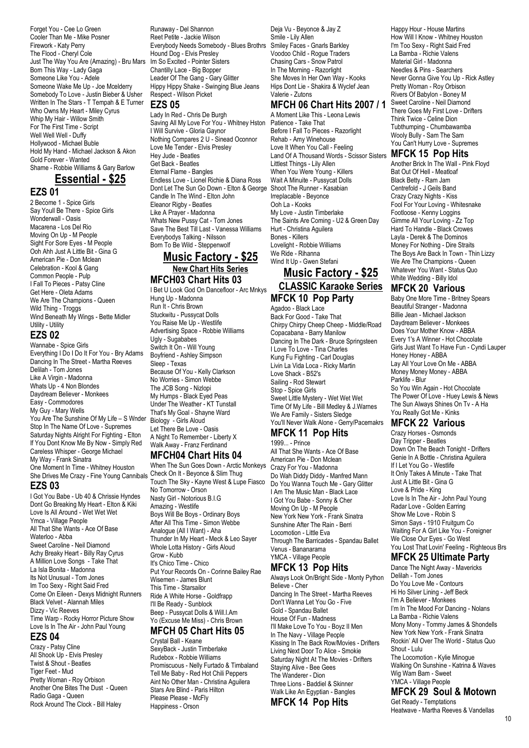Forget You - Cee Lo Green Cooler Than Me - Mike Posner Firework - Katy Perry The Flood - Cheryl Cole Just The Way You Are (Amazing) - Bru Mars Im So Excited - Pointer Sisters Born This Way - Lady Gaga Someone Like You - Adele Someone Wake Me Up - Joe Mcelderry Somebody To Love - Justin Bieber & Usher Written In The Stars - T Tempah & E Turner Who Owns My Heart - Miley Cyrus Whip My Hair - Willow Smith For The First Time - Script Well Well Well - Duffy Hollywood - Michael Buble Hold My Hand - Michael Jackson & Akon Gold Forever - Wanted Shame - Robbie Williams & Gary Barlow

# **Essential - \$25**

#### **EZS 01**

2 Become 1 - Spice Girls Say Youll Be There - Spice Girls Wonderwall - Oasis Macarena - Los Del Rio Moving On Up - M People Sight For Sore Eyes - M People Ooh Ahh Just A Little Bit - Gina G American Pie - Don Mclean Celebration - Kool & Gang Common People - Pulp I Fall To Pieces - Patsy Cline Get Here - Oleta Adams We Are The Champions - Queen Wild Thing - Troggs Wind Beneath My Wings - Bette Midler Utility - Utility

# **EZS 02**

Wannabe - Spice Girls Everything I Do I Do It For You - Bry Adams Dancing In The Street - Martha Reeves Delilah - Tom Jones Like A Virgin - Madonna Whats Up - 4 Non Blondes Daydream Believer - Monkees Easy - Commodores My Guy - Mary Wells You Are The Sunshine Of My Life – S Wnder Stop In The Name Of Love - Supremes Saturday Nights Alright For Fighting - Elton If You Dont Know Me By Now - Simply Red Careless Whisper - George Michael My Way - Frank Sinatra One Moment In Time - Whitney Houston She Drives Me Crazy - Fine Young Cannibals Check On It - Beyonce & Slim Thug

# **EZS 03**

I Got You Babe - Ub 40 & Chrissie Hyndes Dont Go Breaking My Heart - Elton & Kiki Love Is All Around - Wet Wet Wet Ymca - Village People All That She Wants - Ace Of Base Waterloo - Abba Sweet Caroline - Neil Diamond Achy Breaky Heart - Billy Ray Cyrus A Million Love Songs - Take That La Isla Bonita - Madonna Its Not Unusual - Tom Jones Im Too Sexy - Right Said Fred Come On Eileen - Dexys Midnight Runners Black Velvet - Alannah Miles Dizzy - Vic Reeves Time Warp - Rocky Horror Picture Show Love Is In The Air - John Paul Young

### **EZS 04**

Crazy - Patsy Cline All Shook Up - Elvis Presley Twist & Shout - Beatles Tiger Feet - Mud Pretty Woman - Roy Orbison Another One Bites The Dust - Queen Radio Gaga - Queen Rock Around The Clock - Bill Haley

Runaway - Del Shannon Reet Petite - Jackie Wilson Everybody Needs Somebody - Blues Brothrs Hound Dog - Elvis Presley Chantilly Lace - Big Bopper Leader Of The Gang - Gary Glitter Hippy Hippy Shake - Swinging Blue Jeans Respect - Wilson Picket

#### **EZS 05**

Lady In Red - Chris De Burgh Saving All My Love For You - Whitney Hston I Will Survive - Gloria Gaynor Nothing Compares 2 U - Sinead Oconnor Love Me Tender - Elvis Presley Hey Jude - Beatles Get Back - Beatles Eternal Flame - Bangles Endless Love - Lionel Richie & Diana Ross Dont Let The Sun Go Down - Elton & George Candle In The Wind - Elton John Eleanor Rigby - Beatles Like A Prayer - Madonna Whats New Pussy Cat - Tom Jones Save The Best Till Last - Vanessa Williams Everybodys Talking - Nilsson Born To Be Wild - Steppenwolf

#### **Music Factory - \$25 New Chart Hits Series MFCH03 Chart Hits 03**

I Bet U Look God On Dancefloor - Arc Mnkys Hung Up - Madonna Run It - Chris Brown Stuckwitu - Pussycat Dolls You Raise Me Up - Westlife Advertising Space - Robbie Williams Ugly - Sugababes Switch It On - Will Young Boyfriend - Ashley Simpson Sleep - Texas Because Of You - Kelly Clarkson No Worries - Simon Webbe The JCB Song - Nizlopi My Humps - Black Eyed Peas Under The Weather - KT Tunstall That's My Goal - Shayne Ward Biology - Girls Aloud Let There Be Love - Oasis A Night To Remember - Liberty X Walk Away - Franz Ferdinand

#### **MFCH04 Chart Hits 04**

When The Sun Goes Down - Arctic Monkeys Touch The Sky - Kayne West & Lupe Fiasco No Tomorrow - Orson Nasty Girl - Notorious B.I.G Amazing - Westlife Boys Will Be Boys - Ordinary Boys After All This Time - Simon Webbe Analogue (All I Want) - Aha Thunder In My Heart - Meck & Leo Sayer Whole Lotta History - Girls Aloud Grow - Kubb It's Chico Time - Chico Put Your Records On - Corinne Bailey Rae Wisemen - James Blunt This Time - Starsailor Ride A White Horse - Goldfrapp I'll Be Ready - Sunblock Beep - Pussycat Dolls & Will.I.Am Yo (Excuse Me Miss) - Chris Brown

# **MFCH 05 Chart Hits 05**

Crystal Ball - Keane SexyBack - Justin Timberlake Rudebox - Robbie Williams Promiscuous - Nelly Furtado & Timbaland Tell Me Baby - Red Hot Chili Peppers Aint No Other Man - Christina Aguilera Stars Are Blind - Paris Hilton Please Please - McFly Happiness - Orson

Deja Vu - Beyonce & Jay Z Smile - Lily Allen Smiley Faces - Gnarls Barkley Voodoo Child - Rogue Traders Chasing Cars - Snow Patrol In The Morning - Razorlight She Moves In Her Own Way - Kooks Hips Dont Lie - Shakira & Wyclef Jean Valerie - Zutons

# **MFCH 06 Chart Hits 2007 / 1**

A Moment Like This - Leona Lewis Patience - Take That Before I Fall To Pieces - Razorlight Rehab - Amy Winehouse Love It When You Call - Feeling Land Of A Thousand Words - Scissor Sisters Littlest Things - Lily Allen When You Were Young - Killers Wait A Minuite - Pussycat Dolls Shoot The Runner - Kasabian Irreplacable - Beyonce Ooh La - Kooks My Love - Justin Timberlake The Saints Are Coming - U2 & Green Day Hurt - Christina Aguilera Bones - Killers Lovelight - Robbie Williams We Ride - Rihanna Wind It Up - Gwen Stefani

# **Music Factory - \$25 CLASSIC Karaoke Series MFCK 10 Pop Party**

Agadoo - Black Lace Back For Good - Take That Chirpy Chirpy Cheep Cheep - Middle/Road Copacabana - Barry Manilow Dancing In The Dark - Bruce Springsteen I Love To Love - Tina Charles Kung Fu Fighting - Carl Douglas Livin La Vida Loca - Ricky Martin Love Shack - B52's Sailing - Rod Stewart Stop - Spice Girls Sweet Little Mystery - Wet Wet Wet Time Of My Life - Bill Medley & J.Warnes We Are Family - Sisters Sledge You'll Never Walk Alone - Gerry/Pacemakrs

#### **MFCK 11 Pop Hits**

1999... - Prince All That She Wants - Ace Of Base American Pie - Don Mclean Crazy For You - Madonna Do Wah Diddy Diddy - Manfred Mann Do You Wanna Touch Me - Gary Glitter I Am The Music Man - Black Lace I Got You Babe - Sonny & Cher Moving On Up - M People New York New York - Frank Sinatra Sunshine After The Rain - Berri Locomotion - Little Eva Through The Barricades - Spandau Ballet Venus - Bananarama YMCA - Village People

# **MFCK 13 Pop Hits**

Always Look On/Bright Side - Monty Python Believe - Cher Dancing In The Street - Martha Reeves Don't Wanna Let You Go - Five Gold - Spandau Ballet House Of Fun - Madness I'll Make Love To You - Boyz II Men In The Navy - Village People Kissing In The Back Row/Movies - Drifters Living Next Door To Alice - Smokie Saturday Night At The Movies - Drifters Staying Alive - Bee Gees The Wanderer - Dion Three Lions - Baddiel & Skinner Walk Like An Egyptian - Bangles

#### **MFCK 14 Pop Hits**

Happy Hour - House Martins How Will I Know - Whitney Houston I'm Too Sexy - Right Said Fred La Bamba - Richie Valens Material Girl - Madonna Needles & Pins - Searchers Never Gonna Give You Up - Rick Astley Pretty Woman - Roy Orbison Rivers Of Babylon - Boney M Sweet Caroline - Neil Diamond There Goes My First Love - Drifters Think Twice - Celine Dion Tubthumping - Chumbawamba Wooly Bully - Sam The Sam You Can't Hurry Love - Supremes

#### **MFCK 15 Pop Hits**

Another Brick In The Wall - Pink Floyd Bat Out Of Hell - Meatloaf Black Betty - Ram Jam Centrefold - J Geils Band Crazy Crazy Nights - Kiss Fool For Your Loving - Whitesnake Footloose - Kenny Loggins Gimme All Your Loving - Zz Top Hard To Handle - Black Crowes Layla - Derek & The Dominos **Money For Nothing - Dire Straits** The Boys Are Back In Town - Thin Lizzy We Are The Champions - Queen Whatever You Want - Status Quo White Wedding - Billy Idol

## **MFCK 20 Various**

Baby One More Time - Britney Spears Beautiful Stranger - Madonna Billie Jean - Michael Jackson Daydream Believer - Monkees Does Your Mother Know - ABBA Every 1's A Winner - Hot Chocolate Girls Just Want To Have Fun - Cyndi Lauper Honey Honey - ABBA Lay All Your Love On Me - ABBA Money Money Money - ABBA Parklife - Blur So You Win Again - Hot Chocolate The Power Of Love - Huey Lewis & News The Sun Always Shines On Tv - A Ha You Really Got Me - Kinks

## **MFCK 22 Various**

Crazy Horses - Osmonds Day Tripper - Beatles Down On The Beach Tonight - Drifters Genie In A Bottle - Christina Aguilera If I Let You Go - Westlife It Only Takes A Minute - Take That Just A Little Bit - Gina G Love & Pride - King Love Is In The Air - John Paul Young Radar Love - Golden Earring Show Me Love - Robin S Simon Says - 1910 Fruitgum Co Waiting For A Girl Like You - Foreigner We Close Our Eyes - Go West You Lost That Lovin' Feeling - Righteous Brs

## **MFCK 25 Ultimate Party**

Dance The Night Away - Mavericks Delilah - Tom Jones Do You Love Me - Contours Hi Ho Silver Lining - Jeff Beck I'm A Believer - Monkees I'm In The Mood For Dancing - Nolans La Bamba - Richie Valens Mony Mony - Tommy James & Shondells New York New York - Frank Sinatra Rockin' All Over The World - Status Quo Shout - Lulu The Locomotion - Kylie Minogue Walking On Sunshine - Katrina & Waves Wig Wam Bam - Sweet YMCA - Village People

# **MFCK 29 Soul & Motown**

Get Ready - Temptations Heatwave - Martha Reeves & Vandellas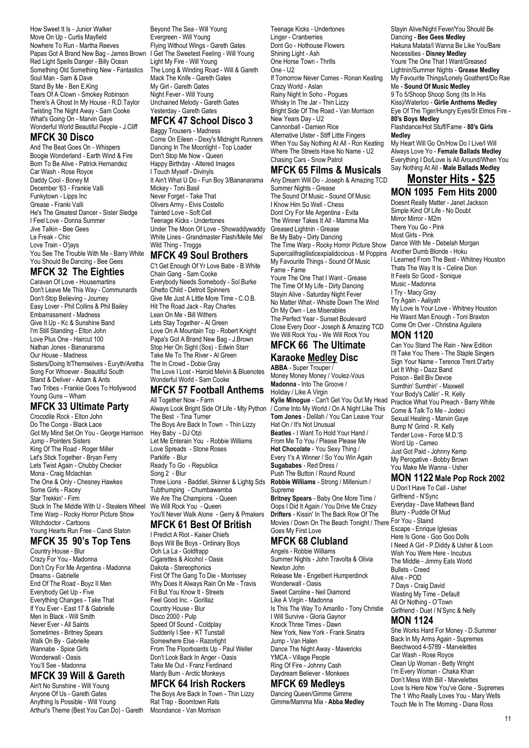How Sweet It Is - Junior Walker Move On Up - Curtis Mayfield Nowhere To Run - Martha Reeves Papas Got A Brand New Bag - James Brown Red Light Spells Danger - Billy Ocean Something Old Something New - Fantastics Soul Man - Sam & Dave Stand By Me - Ben E.King Tears Of A Clown - Smokey Robinson There's A Ghost In My House - R.D.Taylor Twisting The Night Away - Sam Cooke What's Going On - Marvin Gaye Wonderful World Beautiful People - J.Cliff

#### **MFCK 30 Disco**

And The Beat Goes On - Whispers Boogie Wonderland - Earth Wind & Fire Born To Be Alive - Patrick Hernandez Car Wash - Rose Royce Daddy Cool - Boney M December '63 - Frankie Valli Funkytown - Lipps Inc Grease - Franki Valli He's The Greatest Dancer - Sister Sledge I Feel Love - Donna Summer Jive Talkin - Bee Gees Le Freak - Chic Love Train - O'jays You See The Trouble With Me - Barry White You Should Be Dancing - Bee Gees

## **MFCK 32 The Eighties**

Caravan Of Love - Housemartins Don't Leave Me This Way - Communards Don't Stop Believing - Journey Easy Lover - Phil Collins & Phil Bailey Embarrassment - Madness Give It Up - Kc & Sunshine Band I'm Still Standing - Elton John Love Plus One - Haircut 100 Nathan Jones - Bananarama Our House - Madness Sisters/Doing It/Themselves - Euryth/Aretha Song For Whoever - Beautiful South Stand & Deliver - Adam & Ants Two Tribes - Frankie Goes To Hollywood Young Guns – Wham

# **MFCK 33 Ultimate Party**

Crocodile Rock - Elton John Do The Conga - Black Lace Got My Mind Set On You - George Harrison Jump - Pointers Sisters King Of The Road - Roger Miller Let's Stick Together - Bryan Ferry Lets Twist Again - Chubby Checker Mona - Craig Mclachlan The One & Only - Chesney Hawkes Some Girls - Racev Star Trekkin' - Firm Stuck In The Middle With U - Stealers Wheel Time Warp - Rocky Horror Picture Show Witchdoctor - Cartoons Young Hearts Run Free - Candi Staton

# **MFCK 35 90's Top Tens**

Country House - Blur Crazy For You - Madonna Don't Cry For Me Argentina - Madonna Dreams - Gabrielle End Of The Road - Boyz II Men Everybody Get Up - Five Everything Changes - Take That If You Ever - East 17 & Gabrielle Men In Black - Will Smith Never Ever - All Saints Sometimes - Britney Spears Walk On By - Gabrielle Wannabe - Spice Girls Wonderwall - Oasis You'll See - Madonna

#### **MFCK 39 Will & Gareth** Ain't No Sunshine - Will Young

Anyone Of Us - Gareth Gates Anything Is Possible - Will Young Arthur's Theme (Best You Can Do) - Gareth

Beyond The Sea - Will Young Evergreen - Will Young Flying Without Wings - Gareth Gates I Get The Sweetest Feeling - Will Young Light My Fire - Will Young The Long & Winding Road - Will & Gareth Mack The Knife - Gareth Gates My Girl - Gareth Gates Night Fever - Will Young Unchained Melody - Gareth Gates Yesterday - Gareth Gates

# **MFCK 47 School Disco 3**

Baggy Trousers - Madness Come On Eileen - Dexy's Midnight Runners Dancing In The Moonlight - Top Loader Don't Stop Me Now - Queen Happy Birthday - Altered Images I Touch Myself - Divinyls It Ain't What U Do - Fun Boy 3/Bananarama Mickey - Toni Basil Never Forget - Take That Olivers Army - Elvis Costello Tainted Love - Soft Cell Teenage Kicks - Undertones Under The Moon Of Love - Showaddywaddy White Lines - Grandmaster Flash/Melle Mel Wild Thing - Troggs

#### **MFCK 49 Soul Brothers**

C't Get Enough Of Yr Love Babe - B.White Chain Gang - Sam Cooke Everybody Needs Somebody - Sol Burke Ghetto Child - Detroit Spinners Give Me Just A Little More Time - C.O.B. Hit The Road Jack - Ray Charles Lean On Me - Bill Withers Lets Stay Together - Al Green Love On A Mountain Top - Robert Knight Papa's Got A Brand New Bag - J.Brown Stop Her On Sight (Sos) - Edwin Starr Take Me To The River - Al Green The In Crowd - Dobie Gray The Love I Lost - Harold Melvin & Bluenotes Wonderful World - Sam Cooke

# **MFCK 57 Football Anthems**

All Together Now - Farm Always Look Bright Side Of Life - Mty Python The Best - Tina Turner The Boys Are Back In Town - Thin Lizzy Hey Baby - DJ Otzi Let Me Enterain You - Robbie Williams Love Spreads - Stone Roses Parklife - Blur Ready To Go - Republica Song 2 - Blur Three Lions - Baddiel, Skinner & Lightg Sds Tubthumping - Chumbawamba We Are The Champions - Queen We Will Rock You - Queen You'll Never Walk Alone - Gerry & Pmakers

## **MFCK 61 Best Of British**

I Predict A Riot - Kaiser Chiefs Boys Will Be Boys - Ordinary Boys Ooh La La - Goldfrapp Cigarettes & Alcohol - Oasis Dakota - Stereophonics First Of The Gang To Die - Morrissey Why Does It Always Rain On Me - Travis Fit But You Know It - Streets Feel Good Inc. - Gorillaz Country House - Blur Disco 2000 - Pulp Speed Of Sound - Coldplay Suddenly I See - KT Tunstall Somewhere Else - Razorlight From The Floorboards Up - Paul Weller Don't Look Back In Anger - Oasis Take Me Out - Franz Ferdinand Mardy Bum - Arctic Monkeys

## **MFCK 64 Irish Rockers**

The Boys Are Back In Town - Thin Lizzy Rat Trap - Boomtown Rats Moondance - Van Morrison

Teenage Kicks - Undertones Linger - Cranberries Dont Go - Hothouse Flowers Shining Light - Ash One Horse Town - Thrills One - U2 If Tomorrow Never Comes - Ronan Keating Crazy World - Aslan Rainy Night In Soho - Pogues Whisky In The Jar - Thin Lizzy Bright Side Of The Road - Van Morrison New Years Day - U2 Cannonball - Damien Rice Alternative Ulster - Stiff Little Fingers When You Say Nothing At All - Ron Keating Where The Streets Have No Name - U2 Chasing Cars - Snow Patrol

#### **MFCK 65 Films & Musicals**

Any Dream Will Do - Joseph & Amazing TCD Summer Nights - Grease The Sound Of Music - Sound Of Music I Know Him So Well - Chess Dont Cry For Me Argentina - Evita The Winner Takes It All - Mamma Mia Greased Lightnin - Grease Be My Baby - Dirty Dancing The Time Warp - Rocky Horror Picture Show Supercalifragilisticexpialidocious - M Poppins Another Dumb Blonde - Hoku My Favourite Things - Sound Of Music Fame - Fame Youre The One That I Want - Grease The Time Of My Life - Dirty Dancing Stayin Alive - Saturday Night Fever No Matter What - Whistle Down The Wind On My Own - Les Miserables The Perfect Year - Sunset Boulevard Close Every Door - Joseph & Amazing TCD We Will Rock You - We Will Rock You

# **MFCK 66 The Ultimate**

# **Karaoke Medley Disc**

**ABBA** - Super Trouper / Money Money Money / Voulez-Vous **Madonna** - Into The Groove / Holiday / Like A Virgin Kylie Minogue - Can't Get You Out My Head Practice What You Preach - Barry White / Come Into My World / On A Night Like This **Tom Jones** - Delilah / You Can Leave Your Hat On / It's Not Unusual **Beatles** - I Want To Hold Your Hand / From Me To You / Please Please Me **Hot Chocolate** - You Sexy Thing / Every 1's A Winner / So You Win Again **Sugababes** - Red Dress / Push The Button / Round Round **Robbie Williams** - Strong / Millenium / Supreme

**Britney Spears** - Baby One More Time / Oops I Did It Again / You Drive Me Crazy **Drifters** - Kissin' In The Back Row Of The Movies / Down On The Beach Tonight / There For You - Staind Goes My First Love

# **MFCK 68 Clubland**

Angels - Robbie Williams Summer Nights - John Travolta & Olivia Newton John Release Me - Engelbert Humperdinck Wonderwall - Oasis Sweet Caroline - Neil Diamond Like A Virgin - Madonna Is This The Way To Amarillo - Tony Christie I Will Survive - Gloria Gaynor Knock Three Times - Dawn New York, New York - Frank Sinatra Jump - Van Halen Dance The Night Away - Mavericks YMCA - Village People Ring Of Fire - Johnny Cash Daydream Believer - Monkees

## **MFCK 69 Medleys**

Dancing Queen/Gimme Gimme Gimme/Mamma Mia - **Abba Medley**

Stayin Alive/Night Fever/You Should Be Dancing - **Bee Gees Medley** Hakuna Matata/I Wanna Be Like You/Bare Necessities - **Disney Medley** Youre The One That I Want/Greased Lightnin/Summer Nights - **Grease Medley** My Favourite Things/Lonely Goatherd/Do Rae Me - **Sound Of Music Medley** 9 To 5/Shoop Shoop Song (Its In His Kiss)/Waterloo - **Girlie Anthems Medley** Eye Of The Tiger/Hungry Eyes/St Elmos Fire - **80's Boys Medley** Flashdance/Hot Stuff/Fame - **80's Girls Medley** My Heart Will Go On/How Do I Live/I Will Always Love Yo - **Female Ballads Medley**

# Everything I Do/Love Is All Around/When You Say Nothing At All - **Male Ballads Medley**

#### **Monster Hits - \$25 MON 1095 Fem Hits 2000**

Doesnt Really Matter - Janet Jackson Simple Kind Of Life - No Doubt Mirror Mirror - M2m There You Go - Pink Most Girls - Pink Dance With Me - Debelah Morgan I Learned From The Best - Whitney Houston Thats The Way It Is - Celine Dion It Feels So Good - Sonique Music - Madonna I Try - Macy Gray Try Again - Aaliyah My Love Is Your Love - Whitney Houston He Wasnt Man Enough - Toni Braxton Come On Over - Christina Aguilera

#### **MON 1120**

Can You Stand The Rain - New Edition I'll Take You There - The Staple Singers Sign Your Name - Terence Trent D'arby Let It Whip - Dazz Band Poison - Bell Biv Devoe Sumthin' Sumthin' - Maxwell Your Body's Callin' - R. Kelly Come & Talk To Me - Jodeci Sexual Healing - Marvin Gaye Bump N' Grind - R. Kelly Tender Love - Force M.D.'S Word Up - Cameo Just Got Paid - Johnny Kemp My Perogative - Bobby Brown You Make Me Wanna - Usher

#### **MON 1122 Male Pop Rock 2002**

U Don't Have To Call - Usher Girlfriend - N'Sync Everyday - Dave Mathews Band Blurry - Puddle Of Mud Escape - Enrique Iglesias Here Is Gone - Goo Goo Dolls I Need A Girl - P.Diddy & Usher & Loon Wish You Were Here - Incubus The Middle - Jimmy Eats World Bullets - Creed Alive - POD 7 Days - Craig David Wasting My Time - Default All Or Nothing - O'Town Girlfriend - Duet / N'Sync & Nelly

#### **MON 1124**

She Works Hard For Money - D.Summer Back In My Arms Again - Supremes Beechwood 4-5789 - Marvelettes Car Wash - Rose Royce Clean Up Woman - Betty Wright I'm Every Woman - Chaka Khan Don't Mess With Bill - Marvelettes Love Is Here Now You've Gone - Supremes The 1 Who Really Loves You - Mary Wells Touch Me In The Morning - Diana Ross